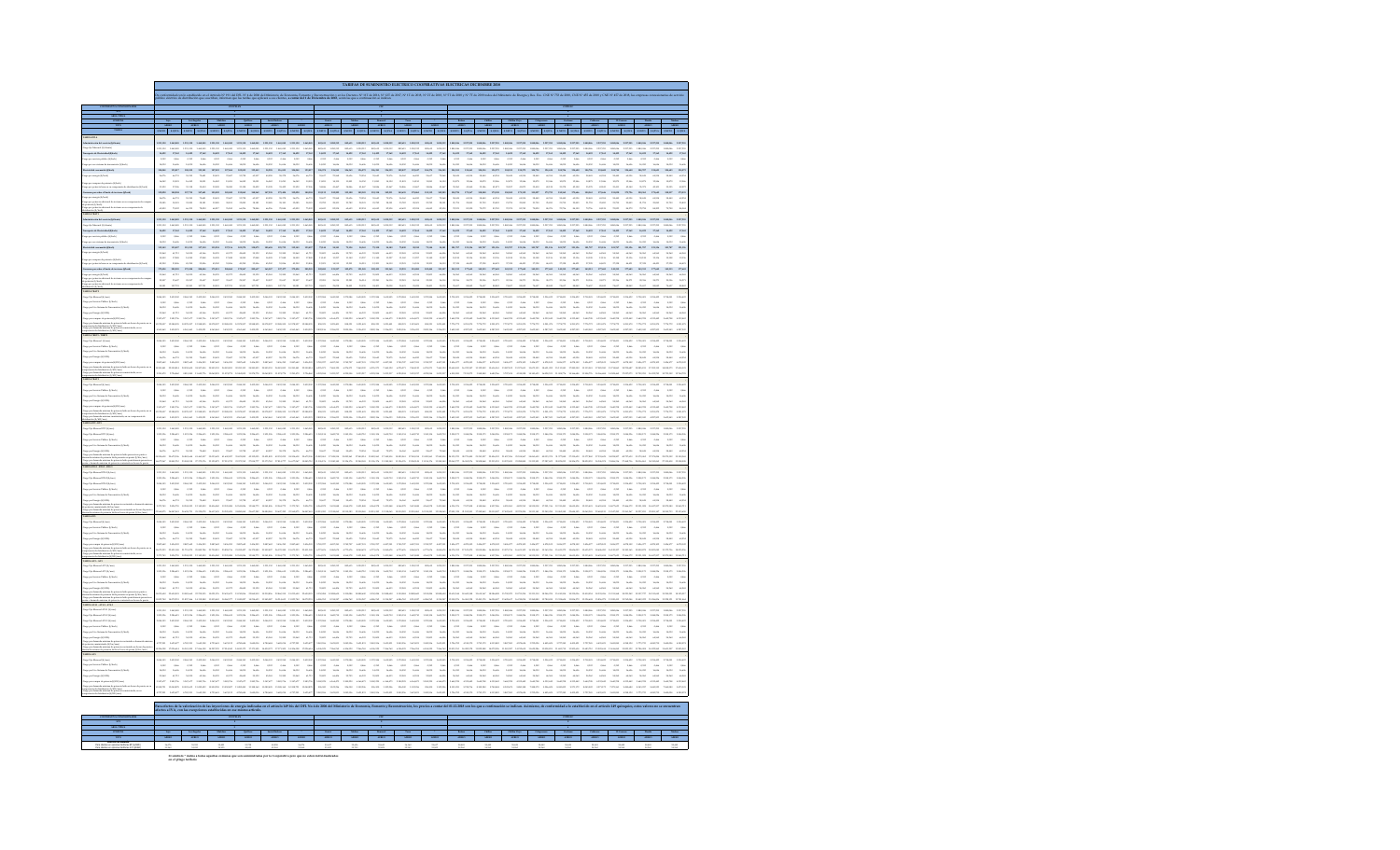|               |        | 121129 14040             |                              | 120.00 140.00                                   |                                                                         |              |                                                          |                                                                                                                                                                                                                                                                                                                                                                                                                                             | a was year.                     |                   |                 |                                            |        |              |                  |              |                                                                                               |        |                                                                                                                                                                                                                                                                                                                                                            |                 |              |                                                                                                                                                                                                                |                                  |                    |                                                                                               |                              |                                |               |             |                                                                                                                                                                      |                                                                                                                                                                                                                                                                                                                                |             |                                                                                                                                                                                                                                                                    |
|---------------|--------|--------------------------|------------------------------|-------------------------------------------------|-------------------------------------------------------------------------|--------------|----------------------------------------------------------|---------------------------------------------------------------------------------------------------------------------------------------------------------------------------------------------------------------------------------------------------------------------------------------------------------------------------------------------------------------------------------------------------------------------------------------------|---------------------------------|-------------------|-----------------|--------------------------------------------|--------|--------------|------------------|--------------|-----------------------------------------------------------------------------------------------|--------|------------------------------------------------------------------------------------------------------------------------------------------------------------------------------------------------------------------------------------------------------------------------------------------------------------------------------------------------------------|-----------------|--------------|----------------------------------------------------------------------------------------------------------------------------------------------------------------------------------------------------------------|----------------------------------|--------------------|-----------------------------------------------------------------------------------------------|------------------------------|--------------------------------|---------------|-------------|----------------------------------------------------------------------------------------------------------------------------------------------------------------------|--------------------------------------------------------------------------------------------------------------------------------------------------------------------------------------------------------------------------------------------------------------------------------------------------------------------------------|-------------|--------------------------------------------------------------------------------------------------------------------------------------------------------------------------------------------------------------------------------------------------------------------|
|               |        |                          |                              |                                                 |                                                                         |              |                                                          | $\mathbf{14.02} \qquad \mathbf{17.03} \qquad \mathbf{14.03} \qquad \mathbf{17.14} \qquad \mathbf{18.01} \qquad \mathbf{17.14} \qquad \mathbf{14.03} \qquad \mathbf{17.14} \qquad \mathbf{18.02} \qquad \mathbf{17.04} \qquad \mathbf{18.03} \qquad \mathbf{17.04} \qquad \mathbf{19.05} \qquad \mathbf{19.06} \qquad \mathbf{19.07} \qquad \mathbf{19.08} \qquad \mathbf{19.09} \q$                                                         |                                 |                   |                 |                                            |        |              |                  |              |                                                                                               |        | $14.03 \qquad 17.16 \qquad 16.03 \qquad 17.16 \qquad 14.03 \qquad 17.16 \qquad 16.03 \qquad 17.16 \qquad 17.16 \qquad 17.16$                                                                                                                                                                                                                               |                 |              |                                                                                                                                                                                                                |                                  |                    |                                                                                               |                              |                                |               |             |                                                                                                                                                                      | $11,03 \qquad 12,14 \qquad 14,03 \qquad 17,03 \qquad 14,03 \qquad 17,03 \qquad 14,03 \qquad 17,03 \qquad 14,03 \qquad 14,03 \qquad 17,03 \qquad 14,03 \qquad 17,04 \qquad 14,03 \qquad 17,04 \qquad 18,05 \qquad 17,06 \qquad 17,07 \qquad 18,08 \qquad 19,09 \qquad 19,01 \qquad 19,01 \qquad 19,02 \qquad 19,03 \qquad 19,0$ |             |                                                                                                                                                                                                                                                                    |
| <b>Matte</b>  | 14,4%  | 14,030                   | <b>SLAW</b>                  | 14,470                                          | <b>State</b>                                                            | 14,650       | <b>State</b>                                             | 14,020                                                                                                                                                                                                                                                                                                                                                                                                                                      | 10,4%<br>14,050                 |                   | same.           | $_{\rm 56,656}$                            | 14.680 | <b>State</b> | 14,650           | <b>State</b> | 14,070                                                                                        | 14,479 | <b>MAN</b><br>14,494                                                                                                                                                                                                                                                                                                                                       | 14,000          | <b>State</b> | $\frac{4392}{14430}$ $=$ $\frac{6368}{16480}$                                                                                                                                                                  | 14,050                           | 14,496             | same                                                                                          | $\frac{634}{1680}$<br>14,416 | 14,499                         | 14,000        | <b>SGAN</b> | 14450<br><b>MAN</b>                                                                                                                                                  | 14,050                                                                                                                                                                                                                                                                                                                         |             |                                                                                                                                                                                                                                                                    |
|               |        |                          |                              |                                                 |                                                                         |              |                                                          |                                                                                                                                                                                                                                                                                                                                                                                                                                             |                                 |                   |                 |                                            |        |              |                  |              |                                                                                               |        | $10074 \qquad 12076 \qquad 10076 \qquad 13072 \qquad 10076 \qquad 12076 \qquad 13276 \qquad 12247 \qquad 10075 \qquad 120765$                                                                                                                                                                                                                              |                 |              |                                                                                                                                                                                                                |                                  |                    |                                                                                               |                              |                                |               |             |                                                                                                                                                                      |                                                                                                                                                                                                                                                                                                                                |             |                                                                                                                                                                                                                                                                    |
| 14.042        |        |                          |                              |                                                 |                                                                         |              |                                                          |                                                                                                                                                                                                                                                                                                                                                                                                                                             |                                 |                   |                 |                                            |        |              |                  |              |                                                                                               |        | 1209 1210 1209 1210 1209 1210 1220 1230 1230 1230                                                                                                                                                                                                                                                                                                          |                 |              |                                                                                                                                                                                                                |                                  |                    |                                                                                               |                              |                                |               |             |                                                                                                                                                                      | 10,09 12,966 10,099 12,966 10,099 12,966 10,009 12,966 10,099 12,966 10,099 12,966 10,099 12,966 14,099 12,966                                                                                                                                                                                                                 |             |                                                                                                                                                                                                                                                                    |
|               |        |                          |                              |                                                 |                                                                         |              |                                                          |                                                                                                                                                                                                                                                                                                                                                                                                                                             |                                 |                   |                 |                                            |        |              |                  |              |                                                                                               |        |                                                                                                                                                                                                                                                                                                                                                            |                 |              |                                                                                                                                                                                                                |                                  |                    |                                                                                               |                              |                                |               |             |                                                                                                                                                                      |                                                                                                                                                                                                                                                                                                                                |             |                                                                                                                                                                                                                                                                    |
|               |        |                          |                              |                                                 |                                                                         |              |                                                          |                                                                                                                                                                                                                                                                                                                                                                                                                                             |                                 |                   |                 |                                            |        |              |                  |              |                                                                                               |        | $193,111 \qquad 143,201 \qquad 193,202 \qquad 143,203 \qquad 193,214 \qquad 143,211 \qquad 149,49 \qquad 179,201 \qquad 193,211 \qquad 143,201$                                                                                                                                                                                                            |                 |              |                                                                                                                                                                                                                |                                  |                    |                                                                                               |                              |                                |               |             |                                                                                                                                                                      |                                                                                                                                                                                                                                                                                                                                |             | 190917 17091                                                                                                                                                                                                                                                       |
|               | 66,771 | 19,393                   | 70,682                       | 39,403                                          | $70,007 - 33,728$                                                       |              | $65837 - 49,058$                                         |                                                                                                                                                                                                                                                                                                                                                                                                                                             | $90,338$ $-30,376$              |                   | 39,437<br>25762 | 20,000 20,626<br>$_{\rm 20,30}$ $-$ 20,261 |        | 70,954       | 39,643           |              | $70.051 \qquad 56,563 \qquad 46,033$                                                          |        | $30\, \mathrm{AU}$<br>74,96<br>$\begin{array}{ccccccccc} 2030 & -2030 & -2030 & -2030 & -2030 & -2030 & -2030 \end{array}$                                                                                                                                                                                                                                 | 38,429          |              | 49204 24449 49204<br>$_{\rm 21,799}$ $ _{\rm 25,89}$                                                                                                                                                           |                                  | $38,449$ $-49,394$ | $10,449 \qquad 49,754 \qquad 10,449 \qquad 49,754 \qquad$<br>$_{\rm 21,250}$ $ _{\rm 23,805}$ | $21,799$                     |                                | 26,429 49,334 |             | 55,449<br>49,334                                                                                                                                                     | 56,429 49,354                                                                                                                                                                                                                                                                                                                  |             |                                                                                                                                                                                                                                                                    |
|               |        |                          | 7590 6420 7580               | <b>MATT</b>                                     | 24.00 44.234                                                            |              | TAXABLE .                                                | 0.256                                                                                                                                                                                                                                                                                                                                                                                                                                       | 75,544<br>cum.                  | 71.89             | eners           | state state                                |        |              | stime even stime |              | men stess                                                                                     |        | $-22.014$<br>man.                                                                                                                                                                                                                                                                                                                                          |                 | 43,620       | 2022 1020                                                                                                                                                                                                      |                                  | $70.774$ $ 87.241$ | 2000 6025 7026                                                                                |                              | 34,279                         | 2020 6399     |             | 76823<br>84.279                                                                                                                                                      |                                                                                                                                                                                                                                                                                                                                |             |                                                                                                                                                                                                                                                                    |
|               |        |                          |                              |                                                 |                                                                         |              |                                                          | 20139 144544 120139 14454 120139 144544 120139 144544 120139 144544 120139 144544                                                                                                                                                                                                                                                                                                                                                           |                                 |                   |                 |                                            |        |              |                  |              |                                                                                               |        | 44343 1240,022 MGAR 1240,022 MGAR 1240,022 MGAR 1240,022 MGAR 1240,022                                                                                                                                                                                                                                                                                     |                 |              |                                                                                                                                                                                                                |                                  |                    |                                                                                               |                              |                                |               |             |                                                                                                                                                                      |                                                                                                                                                                                                                                                                                                                                |             |                                                                                                                                                                                                                                                                    |
|               |        |                          |                              |                                                 |                                                                         |              |                                                          |                                                                                                                                                                                                                                                                                                                                                                                                                                             |                                 |                   |                 |                                            |        |              |                  |              |                                                                                               |        |                                                                                                                                                                                                                                                                                                                                                            |                 |              |                                                                                                                                                                                                                |                                  |                    |                                                                                               |                              |                                |               |             |                                                                                                                                                                      |                                                                                                                                                                                                                                                                                                                                |             |                                                                                                                                                                                                                                                                    |
|               |        |                          |                              |                                                 |                                                                         |              |                                                          | $\mathbf{u}_i(\mathbf{z}) = \mathbf{u}_i(\mathbf{z}) = \mathbf{u}_i(\mathbf{z}) = \mathbf{u}_i(\mathbf{z}) = \mathbf{u}_i(\mathbf{z}) = \mathbf{u}_i(\mathbf{z}) = \mathbf{u}_i(\mathbf{z}) = \mathbf{u}_i(\mathbf{z}) = \mathbf{u}_i(\mathbf{z}) = \mathbf{u}_i(\mathbf{z}) = \mathbf{u}_i(\mathbf{z}) = \mathbf{u}_i(\mathbf{z}) = \mathbf{u}_i(\mathbf{z}) = \mathbf{u}_i(\mathbf{z}) = \mathbf{u}_i(\mathbf{z}) = \mathbf{u}_i(\mathbf$ |                                 |                   |                 |                                            |        |              |                  |              |                                                                                               |        | $\mathbf{u}_i(\mathbf{z}) = \mathbf{v}_i(\mathbf{z}) = \mathbf{u}_i(\mathbf{z}) = \mathbf{v}_i(\mathbf{z}) = \mathbf{u}_i(\mathbf{z}) = \mathbf{v}_i(\mathbf{z}) = \mathbf{u}_i(\mathbf{z}) = \mathbf{u}_i(\mathbf{z}) = \mathbf{v}_i(\mathbf{z})$                                                                                                         |                 |              |                                                                                                                                                                                                                |                                  |                    |                                                                                               |                              |                                |               |             |                                                                                                                                                                      |                                                                                                                                                                                                                                                                                                                                |             |                                                                                                                                                                                                                                                                    |
| $\frac{1}{2}$ |        |                          |                              |                                                 |                                                                         |              |                                                          |                                                                                                                                                                                                                                                                                                                                                                                                                                             |                                 |                   | ines.           |                                            |        |              |                  |              | 244 429 430 430 430 430 430 430 430<br>1400 440 450 450 450 450 450 450 450                   |        | <b>Service</b>                                                                                                                                                                                                                                                                                                                                             |                 |              |                                                                                                                                                                                                                |                                  |                    |                                                                                               |                              |                                |               |             |                                                                                                                                                                      |                                                                                                                                                                                                                                                                                                                                |             |                                                                                                                                                                                                                                                                    |
|               |        |                          |                              |                                                 |                                                                         |              |                                                          | подав споре содав седан содав седан зависи своего сиров содав содав споре                                                                                                                                                                                                                                                                                                                                                                   |                                 |                   |                 |                                            |        |              |                  |              |                                                                                               |        | том чем том чем том чем том чем том том чем                                                                                                                                                                                                                                                                                                                |                 |              |                                                                                                                                                                                                                |                                  |                    |                                                                                               |                              |                                |               |             |                                                                                                                                                                      |                                                                                                                                                                                                                                                                                                                                |             |                                                                                                                                                                                                                                                                    |
| <b>SAMPLE</b> |        |                          |                              |                                                 |                                                                         |              |                                                          | 1780 1899 1780 1899 1780 1899 1780 1780 1899 1780 1899 1780                                                                                                                                                                                                                                                                                                                                                                                 | $\overline{\phantom{a}}$        |                   |                 |                                            |        |              |                  |              |                                                                                               |        | $1140 \qquad 1327 \qquad 1140 \qquad 1327 \qquad 1140 \qquad 1327 \qquad 1140 \qquad 1327 \qquad 1140 \qquad 11287$                                                                                                                                                                                                                                        |                 |              |                                                                                                                                                                                                                |                                  |                    |                                                                                               |                              |                                |               |             |                                                                                                                                                                      |                                                                                                                                                                                                                                                                                                                                |             |                                                                                                                                                                                                                                                                    |
|               |        | 45290                    |                              |                                                 |                                                                         |              |                                                          | 0.289                                                                                                                                                                                                                                                                                                                                                                                                                                       |                                 |                   |                 | <b>MARK</b>                                | 12.309 |              | 12,209           |              | 12.200                                                                                        |        |                                                                                                                                                                                                                                                                                                                                                            |                 |              | 37,326<br>sun.                                                                                                                                                                                                 |                                  | 44.471             |                                                                                               | 44421<br>77.326              | 44,421                         | 37.326        | 44421       | <b>ALAN</b>                                                                                                                                                          |                                                                                                                                                                                                                                                                                                                                |             |                                                                                                                                                                                                                                                                    |
|               |        |                          |                              |                                                 |                                                                         |              |                                                          |                                                                                                                                                                                                                                                                                                                                                                                                                                             |                                 |                   |                 |                                            |        |              |                  |              |                                                                                               |        | $103.68 \qquad 120.67 \qquad 103.68 \qquad 120.68 \qquad 103.64 \qquad 120.68 \qquad 00.28 \qquad 100.68 \qquad 105.68 \qquad 120.67$                                                                                                                                                                                                                      |                 |              |                                                                                                                                                                                                                |                                  |                    |                                                                                               |                              |                                |               |             |                                                                                                                                                                      |                                                                                                                                                                                                                                                                                                                                |             | нада стра нада стра нада стра стра нада стра нада стра нада стра нада стра нада стра нада стра                                                                                                                                                                     |
|               | 41711  | name.                    |                              |                                                 | 49,972                                                                  | <b>Chain</b> | 20129                                                    | guar.<br>$\label{eq:12} 2047 \qquad 2047 \qquad 2048 \qquad 2048 \qquad 2048 \qquad 2048 \qquad 2048 \qquad 2048 \qquad 2048 \qquad 2048 \qquad 2048$                                                                                                                                                                                                                                                                                       | \$1,000                         | $_{\rm{M}\mu\pi}$ |                 | man.                                       | and a  |              |                  | cours.       | 32.549                                                                                        |        | 44.406<br>$1336 \qquad 3636 \qquad 2336 \qquad 3636 \qquad 2336 \qquad 3636 \qquad 2336 \qquad 3636 \qquad 3636 \qquad 3636$                                                                                                                                                                                                                               |                 |              |                                                                                                                                                                                                                |                                  |                    |                                                                                               |                              |                                |               |             |                                                                                                                                                                      |                                                                                                                                                                                                                                                                                                                                |             | $1036 - 6389 - 1036 - 6089 - 1036 - 6089 - 1038 - 6089 - 1036 - 6089 - 1036 - 6089 - 1036 - 6089 - 1036 - 6089 - 1036 - 6089 - 1036 - 6089 - 1036 - 6089 - 1036 - 6089 - 1036 - 6089 - 1036 - 6089 - 1036 - 6089 - 1036 - 6089 - 1036 - 6089 - 1036 - 6089 - 1036$ |
|               |        |                          |                              |                                                 |                                                                         |              |                                                          |                                                                                                                                                                                                                                                                                                                                                                                                                                             |                                 |                   |                 |                                            |        |              |                  |              |                                                                                               |        |                                                                                                                                                                                                                                                                                                                                                            |                 |              |                                                                                                                                                                                                                |                                  |                    |                                                                                               |                              |                                |               |             |                                                                                                                                                                      |                                                                                                                                                                                                                                                                                                                                |             |                                                                                                                                                                                                                                                                    |
|               |        |                          |                              |                                                 |                                                                         |              |                                                          |                                                                                                                                                                                                                                                                                                                                                                                                                                             |                                 |                   |                 |                                            |        |              |                  |              |                                                                                               |        |                                                                                                                                                                                                                                                                                                                                                            |                 |              |                                                                                                                                                                                                                |                                  |                    |                                                                                               |                              |                                |               |             |                                                                                                                                                                      |                                                                                                                                                                                                                                                                                                                                |             |                                                                                                                                                                                                                                                                    |
|               |        |                          |                              |                                                 |                                                                         |              |                                                          | (COT DESERT ONTER PERSO DESERT DEEDS ONTER PERSON DESERT DEEDS DEEDS DEEDS                                                                                                                                                                                                                                                                                                                                                                  |                                 |                   |                 |                                            |        |              |                  |              |                                                                                               |        |                                                                                                                                                                                                                                                                                                                                                            |                 |              |                                                                                                                                                                                                                |                                  |                    |                                                                                               |                              |                                | 444 430       |             |                                                                                                                                                                      | FOR TEMPER SEARCH SEARCH SEARCH SEARCH SEARCH SEARCH SEARCH SEARCH SEARCH SEARCH SEARCH SEARCH SEARCH SEARCH SEARCH                                                                                                                                                                                                            |             |                                                                                                                                                                                                                                                                    |
| 14,050        |        |                          |                              |                                                 |                                                                         |              |                                                          |                                                                                                                                                                                                                                                                                                                                                                                                                                             |                                 |                   |                 |                                            |        |              |                  |              |                                                                                               |        | 1400 Sum 1400 Sum 1400 Sum 1400 Sum 1400 Sum                                                                                                                                                                                                                                                                                                               |                 |              |                                                                                                                                                                                                                |                                  |                    |                                                                                               |                              |                                |               |             |                                                                                                                                                                      | 14,000 Series 14,000 Series 14,000 Series 14,000 Series 14,000 Series 14,000 Series 14,000 Series 14,000 Series                                                                                                                                                                                                                |             |                                                                                                                                                                                                                                                                    |
|               |        |                          |                              |                                                 | $63733 \qquad 14870 \qquad 6336 \qquad 54873 \qquad 63372 \qquad 49689$ |              | 20120 45340                                              |                                                                                                                                                                                                                                                                                                                                                                                                                                             | $10,000$ $11,000$ $61,710$      |                   |                 | $0.48 - 0.76$                              |        |              |                  |              | 32,549 42,554                                                                                 |        | $10,80$ $-40,40$<br>mage equate mage equate reques equate equate equate equate                                                                                                                                                                                                                                                                             |                 |              |                                                                                                                                                                                                                |                                  |                    | Sales sales sales sales                                                                       |                              |                                | 1430 4410     |             |                                                                                                                                                                      |                                                                                                                                                                                                                                                                                                                                |             |                                                                                                                                                                                                                                                                    |
|               |        |                          |                              |                                                 |                                                                         |              |                                                          | ENET ISSUED LESTERT ISSUED MERCET ISSUED METURE ISSUED MERCET ISSUED MENTET ISSUED                                                                                                                                                                                                                                                                                                                                                          |                                 |                   |                 |                                            |        |              |                  |              |                                                                                               |        | 49,000 1.00,440 496,000 1.00,440 496,000 1.00,440 496,000 1.00,450 1.00,440                                                                                                                                                                                                                                                                                |                 |              |                                                                                                                                                                                                                |                                  |                    |                                                                                               |                              |                                |               |             |                                                                                                                                                                      |                                                                                                                                                                                                                                                                                                                                |             |                                                                                                                                                                                                                                                                    |
|               |        |                          |                              |                                                 |                                                                         |              |                                                          | Must seven enger seven enger seven enger enger seven seven enger seven                                                                                                                                                                                                                                                                                                                                                                      |                                 |                   |                 |                                            |        |              |                  |              |                                                                                               |        |                                                                                                                                                                                                                                                                                                                                                            |                 |              |                                                                                                                                                                                                                |                                  |                    |                                                                                               |                              |                                |               |             |                                                                                                                                                                      | THE REPORT THE REPORT THE REPORT THE REPORT THE REPORT THE REPORT THE REPORT THE REPORT THE REPORT THE REPORT                                                                                                                                                                                                                  |             | $3463943 = 43650$                                                                                                                                                                                                                                                  |
| CHLANK        |        |                          |                              |                                                 |                                                                         |              |                                                          | 343390 3364391 343390 3366391 343390 3364391 343390 3364391 3454391 3464391                                                                                                                                                                                                                                                                                                                                                                 |                                 |                   |                 |                                            |        |              |                  |              |                                                                                               |        | 22036 1430/09 1220,06 1430/09 1221,066 1430/09 1220,06 1430/09 1220,06 1430/09                                                                                                                                                                                                                                                                             |                 |              |                                                                                                                                                                                                                |                                  |                    |                                                                                               |                              |                                |               |             |                                                                                                                                                                      | THE START START START START START START START START START START START START START START START START                                                                                                                                                                                                                            |             |                                                                                                                                                                                                                                                                    |
|               |        |                          |                              |                                                 |                                                                         |              |                                                          |                                                                                                                                                                                                                                                                                                                                                                                                                                             |                                 |                   |                 |                                            |        |              |                  |              |                                                                                               |        | $0.92 \qquad 0.06 \qquad 0.93 \qquad 0.06 \qquad 0.06 \qquad 0.06 \qquad 0.06 \qquad 0.06 \qquad 0.06 \qquad 0.06 \qquad 0.06$                                                                                                                                                                                                                             |                 |              |                                                                                                                                                                                                                |                                  |                    |                                                                                               |                              |                                |               |             |                                                                                                                                                                      |                                                                                                                                                                                                                                                                                                                                |             |                                                                                                                                                                                                                                                                    |
| same.         |        |                          | $_{667\%}$ $-$ 1630 $-$ 2660 |                                                 |                                                                         |              |                                                          | $1609 = 1409 = 1609 = 1609 = 1609 = 1409 = 1609 = 1609 = 1609 = 1409 = 160$<br>39,400 70,607 33,728 63,937 49,607 56,378 56,879 66,73                                                                                                                                                                                                                                                                                                       |                                 |                   |                 |                                            |        |              |                  |              |                                                                                               |        | $14232-3438-34238-34238-34238-34238-34038-34238-34238-34238-34238\\ 39427-21438-34238-34238-34238-34238-34238-34238-34238-34238-34238-34238-34238-34238-34238-34238-34238-34238-34238-34238-34238-34238-34238-34238-34238-3423$                                                                                                                            |                 |              |                                                                                                                                                                                                                |                                  |                    |                                                                                               |                              |                                |               |             |                                                                                                                                                                      |                                                                                                                                                                                                                                                                                                                                |             |                                                                                                                                                                                                                                                                    |
| MADE          |        |                          |                              |                                                 |                                                                         |              |                                                          |                                                                                                                                                                                                                                                                                                                                                                                                                                             |                                 |                   |                 |                                            |        |              |                  |              |                                                                                               |        |                                                                                                                                                                                                                                                                                                                                                            |                 |              |                                                                                                                                                                                                                |                                  |                    |                                                                                               |                              |                                |               |             |                                                                                                                                                                      |                                                                                                                                                                                                                                                                                                                                |             |                                                                                                                                                                                                                                                                    |
|               |        |                          |                              |                                                 |                                                                         |              |                                                          | MUAL 222MUAL 2070A00 24MP/AL 2070A30 24ML/83 2070A33 24ML/83 2070A33 24ML/83 24ML/43 222ML/                                                                                                                                                                                                                                                                                                                                                 |                                 |                   |                 |                                            |        |              |                  |              |                                                                                               |        |                                                                                                                                                                                                                                                                                                                                                            |                 |              |                                                                                                                                                                                                                |                                  |                    |                                                                                               |                              |                                |               |             |                                                                                                                                                                      | 149301 1420302 0132300 154030 154030 1557501 1547335 246030 253350 175030 133350 1750300 253040 253040 154031 175031                                                                                                                                                                                                           |             |                                                                                                                                                                                                                                                                    |
|               |        |                          |                              |                                                 |                                                                         |              |                                                          | UNLEY 2724,000 MANUSO ILAMUTS MANUSO ILANUTA MANUSO ILANUTA MANUSO ILANUTA 224,479 2724,00                                                                                                                                                                                                                                                                                                                                                  |                                 |                   |                 |                                            |        |              |                  |              |                                                                                               |        |                                                                                                                                                                                                                                                                                                                                                            |                 |              |                                                                                                                                                                                                                |                                  |                    |                                                                                               |                              |                                |               |             | ATOMS TIRUTZ SNOVNO AMPLIN SPOLIO ATOMS SERVICE SUBURS ILMACIN SEMUNA ISMAZIN SEMUNA IENEUT ILINGUSI                                                                 |                                                                                                                                                                                                                                                                                                                                |             |                                                                                                                                                                                                                                                                    |
|               |        |                          |                              |                                                 |                                                                         |              |                                                          | NAJPO ZASLINO ZANAJE ZASLINO ZANAJE ZASLINO ZANAJE ZASLINO ZANAJE ZANAJE                                                                                                                                                                                                                                                                                                                                                                    |                                 |                   |                 |                                            |        |              |                  |              |                                                                                               |        | 2703N 1430PB 12703N 1450PB 12703N 1450PB 12703N 1450PB 12703N 1450P                                                                                                                                                                                                                                                                                        |                 |              | 1714/01 1214/22 1714/01 1214/22 1714/01 1214/22 1714/01 1214/23 1714/01 1714/01 1214/01 1214/01 1214/01                                                                                                        |                                  |                    |                                                                                               |                              |                                |               |             |                                                                                                                                                                      |                                                                                                                                                                                                                                                                                                                                |             |                                                                                                                                                                                                                                                                    |
|               |        |                          |                              |                                                 |                                                                         |              |                                                          |                                                                                                                                                                                                                                                                                                                                                                                                                                             |                                 |                   |                 |                                            |        |              |                  |              |                                                                                               |        |                                                                                                                                                                                                                                                                                                                                                            |                 |              |                                                                                                                                                                                                                |                                  |                    |                                                                                               |                              |                                |               |             |                                                                                                                                                                      |                                                                                                                                                                                                                                                                                                                                |             |                                                                                                                                                                                                                                                                    |
| 14.004        |        |                          |                              |                                                 |                                                                         |              |                                                          | 11.800 01.713 24.950 01.300 04.950 03.723 09.090 25.239 03.090 01.090 01.000 01.713                                                                                                                                                                                                                                                                                                                                                         |                                 |                   |                 |                                            |        |              |                  |              |                                                                                               |        | $1429 \qquad 368 \qquad 1429 \qquad 1689 \qquad 1429 \qquad 1429 \qquad 1689 \qquad 1429 \qquad 1689 \qquad 1429 \qquad 1689$                                                                                                                                                                                                                              |                 |              |                                                                                                                                                                                                                |                                  |                    |                                                                                               |                              |                                |               |             |                                                                                                                                                                      | 14,000 Sunt 14,000 Sunt 14,000 Sunt 14,000 Sunt 14,000 Sunt 14,000 Sunt 14,000 Sunt 14,000 Sunt 14,000                                                                                                                                                                                                                         |             |                                                                                                                                                                                                                                                                    |
|               |        |                          |                              |                                                 |                                                                         |              |                                                          | 186326 134267 186326 134267 186326 134267 186326 134267 186326 134267 18632                                                                                                                                                                                                                                                                                                                                                                 |                                 |                   |                 |                                            |        |              |                  |              |                                                                                               |        |                                                                                                                                                                                                                                                                                                                                                            |                 |              |                                                                                                                                                                                                                |                                  |                    |                                                                                               |                              |                                |               |             |                                                                                                                                                                      |                                                                                                                                                                                                                                                                                                                                |             |                                                                                                                                                                                                                                                                    |
|               |        |                          |                              |                                                 | conta nanno contat nanno contat nanno contat nan                        |              |                                                          |                                                                                                                                                                                                                                                                                                                                                                                                                                             |                                 |                   |                 |                                            |        |              |                  |              |                                                                                               |        |                                                                                                                                                                                                                                                                                                                                                            |                 |              | method rester method nedus netter rand                                                                                                                                                                         |                                  |                    |                                                                                               |                              |                                |               |             | techno gener metho, gener model gener metho, gener                                                                                                                   | THEN SERVE THEN SERVE CHANN THEN THEN THEN SERVE THEN SERVE THEN SERVE THEN SERVE THEN SERVE                                                                                                                                                                                                                                   |             |                                                                                                                                                                                                                                                                    |
|               |        |                          |                              |                                                 |                                                                         |              |                                                          |                                                                                                                                                                                                                                                                                                                                                                                                                                             |                                 |                   |                 |                                            |        |              |                  |              |                                                                                               |        |                                                                                                                                                                                                                                                                                                                                                            |                 |              |                                                                                                                                                                                                                |                                  |                    |                                                                                               |                              |                                |               |             |                                                                                                                                                                      |                                                                                                                                                                                                                                                                                                                                |             |                                                                                                                                                                                                                                                                    |
|               |        |                          |                              |                                                 |                                                                         |              |                                                          | 20120 140300 120120 14040 12030 14030 12030 14030 12030 12030 12030 12030 1404                                                                                                                                                                                                                                                                                                                                                              |                                 |                   |                 |                                            |        |              |                  |              | DEANS FIRST COURS FIRST FIRST EXAMPLE FIRST FIRST                                             |        | <b>M2400 1200202</b>                                                                                                                                                                                                                                                                                                                                       |                 |              |                                                                                                                                                                                                                |                                  |                    |                                                                                               |                              |                                |               |             |                                                                                                                                                                      | 188046 227228 186046 227228 188046 227238 188046 227238 188046 227238 188046 227238 188046 227238                                                                                                                                                                                                                              |             |                                                                                                                                                                                                                                                                    |
|               |        |                          |                              |                                                 |                                                                         |              |                                                          |                                                                                                                                                                                                                                                                                                                                                                                                                                             |                                 |                   |                 |                                            |        |              |                  |              |                                                                                               |        | $0.92 \qquad 0.44 \qquad 0.92 \qquad 0.44 \qquad 0.92 \qquad 0.44 \qquad 0.93 \qquad 0.44 \qquad 0.92 \qquad 0.44 \qquad 0.93 \qquad 0.44$                                                                                                                                                                                                                 |                 |              |                                                                                                                                                                                                                |                                  |                    |                                                                                               |                              |                                |               |             |                                                                                                                                                                      |                                                                                                                                                                                                                                                                                                                                |             |                                                                                                                                                                                                                                                                    |
|               |        |                          |                              |                                                 |                                                                         |              |                                                          | 14,000 burns 14,000 burns 14,000 burns 14,000 burns 14,000 burns 14,000 burns                                                                                                                                                                                                                                                                                                                                                               |                                 |                   |                 |                                            |        |              |                  |              |                                                                                               |        |                                                                                                                                                                                                                                                                                                                                                            |                 |              |                                                                                                                                                                                                                |                                  |                    |                                                                                               |                              |                                |               |             |                                                                                                                                                                      | 1420 Som 1420 Som 1420 Som 1420 Som 1420 Som 1420 Som 1420 Som 1420 Som 1420 Som 1420                                                                                                                                                                                                                                          |             | 14,4%                                                                                                                                                                                                                                                              |
|               |        |                          |                              |                                                 |                                                                         |              |                                                          |                                                                                                                                                                                                                                                                                                                                                                                                                                             |                                 |                   |                 |                                            |        |              |                  |              |                                                                                               |        |                                                                                                                                                                                                                                                                                                                                                            |                 |              |                                                                                                                                                                                                                |                                  |                    |                                                                                               |                              |                                |               |             |                                                                                                                                                                      |                                                                                                                                                                                                                                                                                                                                |             |                                                                                                                                                                                                                                                                    |
|               |        |                          |                              |                                                 |                                                                         |              |                                                          |                                                                                                                                                                                                                                                                                                                                                                                                                                             |                                 |                   |                 |                                            |        |              |                  |              | auto masue masure masue masure masue masure masue                                             |        |                                                                                                                                                                                                                                                                                                                                                            |                 |              |                                                                                                                                                                                                                |                                  |                    |                                                                                               |                              |                                |               |             |                                                                                                                                                                      |                                                                                                                                                                                                                                                                                                                                |             |                                                                                                                                                                                                                                                                    |
|               |        |                          |                              |                                                 |                                                                         |              |                                                          |                                                                                                                                                                                                                                                                                                                                                                                                                                             |                                 |                   |                 |                                            |        |              |                  |              |                                                                                               |        |                                                                                                                                                                                                                                                                                                                                                            |                 |              |                                                                                                                                                                                                                |                                  |                    |                                                                                               |                              |                                |               |             |                                                                                                                                                                      |                                                                                                                                                                                                                                                                                                                                |             |                                                                                                                                                                                                                                                                    |
|               |        |                          |                              |                                                 |                                                                         |              |                                                          | 421824 2246419 1421304 2246429 1421304 2246449 1421304 2246419 1421304 224641 1421304 22464                                                                                                                                                                                                                                                                                                                                                 |                                 |                   |                 |                                            |        |              |                  |              |                                                                                               |        | .<br>In the country and the country of the country of the country in the country of the country in the country of the country of the country of the country of the country of the country of the country of the country of the co                                                                                                                          |                 |              |                                                                                                                                                                                                                |                                  |                    |                                                                                               |                              |                                |               |             |                                                                                                                                                                      | ATLANT TORLES EMAILY TORLES ENGINE TERMIN TORLES ATLANT TORLES ACCUAN TORLES TORLES EMAILY SELECT TORLES                                                                                                                                                                                                                       |             |                                                                                                                                                                                                                                                                    |
|               |        |                          |                              |                                                 |                                                                         |              |                                                          | NUM 12009 INUM 12009 INUM 12009 INUM 12009 INUM 12009 INUM 1200                                                                                                                                                                                                                                                                                                                                                                             |                                 |                   |                 |                                            |        |              |                  |              |                                                                                               |        |                                                                                                                                                                                                                                                                                                                                                            |                 |              |                                                                                                                                                                                                                |                                  |                    |                                                                                               |                              |                                |               |             |                                                                                                                                                                      |                                                                                                                                                                                                                                                                                                                                |             |                                                                                                                                                                                                                                                                    |
|               |        |                          |                              |                                                 |                                                                         |              |                                                          | $\text{1.593} \qquad \text{1.592} \qquad \text{1.593} \qquad \text{1.593} \qquad \text{1.594} \qquad \text{1.594} \qquad \text{1.592} \qquad \text{1.595} \qquad \text{1.596} \qquad \text{1.596} \qquad \text{1.596}$                                                                                                                                                                                                                      |                                 |                   |                 |                                            |        |              |                  |              |                                                                                               |        |                                                                                                                                                                                                                                                                                                                                                            |                 |              | $0.91 \qquad 0.04 \qquad 0.04 \qquad 0.04 \qquad 0.93 \qquad 0.04 \qquad 0.04 \qquad 0.04 \qquad 0.04 \qquad 0.04 \qquad 0.04 \qquad 0.04 \qquad 0.04$                                                         |                                  |                    |                                                                                               |                              |                                |               |             |                                                                                                                                                                      |                                                                                                                                                                                                                                                                                                                                |             | $-0.992 \qquad 0.60 \qquad 0.992 \qquad 0.60 \qquad 0.992 \qquad 0.606$                                                                                                                                                                                            |
| same.         |        | $667\%$ $ 165\%$ $ 7660$ |                              | 39,403                                          |                                                                         |              |                                                          | $\label{eq:10} 20.67 \qquad 20.728 \qquad 40.97 \qquad 40.67 \qquad 30.78 \qquad 50.78 \qquad 60.76$                                                                                                                                                                                                                                                                                                                                        |                                 |                   |                 |                                            |        |              |                  |              |                                                                                               |        | $\label{eq:10} 19.67 \qquad 20.66 \qquad 19.63 \qquad 20.64 \qquad 19.63 \qquad 20.65 \qquad 30.66 \qquad 60.63 \qquad 19.67 \qquad 20.66$                                                                                                                                                                                                                 |                 |              |                                                                                                                                                                                                                |                                  |                    |                                                                                               |                              |                                |               |             | 14,000 blums 14,000 blums 14,000 blums 14,000 blums 14,000 blums 14,000 blums 14,000 blums 14,000<br>NAP FON SAP FON MAP FON SAP FON SAP FON SAP FON SAP FON SAP FON | 20,429 09,004                                                                                                                                                                                                                                                                                                                  | 14,4% 14,0% | 14,4%<br>39,449                                                                                                                                                                                                                                                    |
|               |        |                          |                              |                                                 |                                                                         |              |                                                          |                                                                                                                                                                                                                                                                                                                                                                                                                                             |                                 |                   |                 |                                            |        |              |                  |              |                                                                                               |        | NAMES FOR AN OUTLINE ARREST MARINE SERVER MARINE SERVER MODEL                                                                                                                                                                                                                                                                                              |                 |              |                                                                                                                                                                                                                |                                  |                    |                                                                                               |                              |                                |               |             |                                                                                                                                                                      |                                                                                                                                                                                                                                                                                                                                |             | .<br>Парты татры алары антун авады авары алары ознуль ознун панды панды панды панды осуул ознул пантун пенчен панд                                                                                                                                                 |
|               |        |                          |                              | 24947441 24474721 24730,076 24417,470 24240,009 |                                                                         |              |                                                          |                                                                                                                                                                                                                                                                                                                                                                                                                                             |                                 |                   |                 |                                            |        |              |                  |              |                                                                                               |        |                                                                                                                                                                                                                                                                                                                                                            |                 |              |                                                                                                                                                                                                                |                                  |                    | 19331,141                                                                                     |                              |                                |               |             |                                                                                                                                                                      |                                                                                                                                                                                                                                                                                                                                |             |                                                                                                                                                                                                                                                                    |
|               |        |                          |                              |                                                 |                                                                         |              |                                                          |                                                                                                                                                                                                                                                                                                                                                                                                                                             |                                 |                   |                 |                                            |        |              |                  |              |                                                                                               |        |                                                                                                                                                                                                                                                                                                                                                            |                 |              |                                                                                                                                                                                                                |                                  |                    |                                                                                               |                              |                                |               |             |                                                                                                                                                                      |                                                                                                                                                                                                                                                                                                                                |             |                                                                                                                                                                                                                                                                    |
|               |        |                          |                              |                                                 |                                                                         |              | $1699 = 1670 = 1699 = 1670 = 1699 = 1670 = 1670 = 1670.$ |                                                                                                                                                                                                                                                                                                                                                                                                                                             | $10.09\,$ $ 14.09\,$ $ 10.09\,$ |                   |                 |                                            |        |              |                  |              |                                                                                               |        | $4281 \qquad 448 \qquad 428 \qquad 438 \qquad 428 \qquad 428 \qquad 448 \qquad 428 \qquad 448 \qquad 428 \qquad 448 \qquad 448 \qquad 448 \qquad 448 \qquad 448 \qquad 448 \qquad 448 \qquad 448 \qquad 448 \qquad 448 \qquad 448 \qquad 448 \qquad 448 \qquad 448 \qquad 448 \qquad 448 \qquad 448 \qquad 448 \qquad 448 \qquad 448 \qquad 448 \qquad 44$ |                 |              |                                                                                                                                                                                                                |                                  |                    |                                                                                               |                              |                                |               |             |                                                                                                                                                                      | $1409 - 1688 = 1409 - 1688 = 1409. \label{eq:18}$                                                                                                                                                                                                                                                                              |             | אחלים ממדין אחלים במדינה ממדי האחלים ממדינה אחיים מדינה מדינה ביותר שיירה ביותר במדינה ביותר בלי ביותר במדינה<br>אחלים ממדי לאחר באמר מאים מאים לאחר הייתה לאחר להם לא הייתה מאינה לאחר מדינה להם לאחר לאחר ממדינה אחיים ממדינה<br>                                |
|               |        |                          |                              | 1405 4470 1434 7440 7440 7440                   |                                                                         |              |                                                          |                                                                                                                                                                                                                                                                                                                                                                                                                                             |                                 |                   |                 |                                            |        |              |                  |              |                                                                                               |        | that they man had they real that had sell man they                                                                                                                                                                                                                                                                                                         |                 |              | $\label{eq:10} 0.40\qquad \  \  0.01\qquad \  \  0.40\qquad \  \  0.01\qquad \  \  0.40\qquad \  0.01\qquad \  0.04\qquad \  0.01\qquad \  0.01\qquad \  0.02\qquad \  0.03\qquad \  0.04\qquad \  0.04\qquad$ |                                  |                    |                                                                                               |                              |                                |               |             |                                                                                                                                                                      |                                                                                                                                                                                                                                                                                                                                |             |                                                                                                                                                                                                                                                                    |
|               |        |                          |                              |                                                 |                                                                         |              |                                                          |                                                                                                                                                                                                                                                                                                                                                                                                                                             |                                 |                   |                 |                                            |        |              |                  |              |                                                                                               |        |                                                                                                                                                                                                                                                                                                                                                            |                 |              |                                                                                                                                                                                                                |                                  |                    |                                                                                               |                              |                                |               |             |                                                                                                                                                                      |                                                                                                                                                                                                                                                                                                                                |             |                                                                                                                                                                                                                                                                    |
|               |        |                          |                              |                                                 |                                                                         |              |                                                          |                                                                                                                                                                                                                                                                                                                                                                                                                                             |                                 |                   |                 |                                            |        |              |                  |              |                                                                                               |        |                                                                                                                                                                                                                                                                                                                                                            |                 |              |                                                                                                                                                                                                                |                                  |                    |                                                                                               |                              |                                |               |             |                                                                                                                                                                      |                                                                                                                                                                                                                                                                                                                                |             |                                                                                                                                                                                                                                                                    |
|               |        |                          |                              |                                                 |                                                                         |              |                                                          |                                                                                                                                                                                                                                                                                                                                                                                                                                             |                                 |                   |                 |                                            |        |              |                  |              |                                                                                               |        |                                                                                                                                                                                                                                                                                                                                                            |                 |              |                                                                                                                                                                                                                |                                  |                    |                                                                                               |                              |                                |               |             |                                                                                                                                                                      |                                                                                                                                                                                                                                                                                                                                |             |                                                                                                                                                                                                                                                                    |
|               |        |                          |                              |                                                 |                                                                         |              |                                                          |                                                                                                                                                                                                                                                                                                                                                                                                                                             |                                 |                   |                 |                                            |        |              |                  |              |                                                                                               |        |                                                                                                                                                                                                                                                                                                                                                            |                 |              |                                                                                                                                                                                                                |                                  |                    |                                                                                               |                              |                                |               |             |                                                                                                                                                                      |                                                                                                                                                                                                                                                                                                                                |             |                                                                                                                                                                                                                                                                    |
|               |        |                          |                              |                                                 |                                                                         |              |                                                          |                                                                                                                                                                                                                                                                                                                                                                                                                                             |                                 |                   |                 |                                            |        |              |                  |              |                                                                                               |        |                                                                                                                                                                                                                                                                                                                                                            |                 |              |                                                                                                                                                                                                                |                                  |                    |                                                                                               |                              |                                |               |             |                                                                                                                                                                      |                                                                                                                                                                                                                                                                                                                                |             |                                                                                                                                                                                                                                                                    |
|               |        |                          |                              |                                                 |                                                                         |              |                                                          | $1420\qquad 1420\qquad 1420\qquad 1420\qquad 1420\qquad 1420\qquad 1420\qquad 1420\qquad 1420\qquad 1420\qquad 1420$                                                                                                                                                                                                                                                                                                                        |                                 | <b>Start</b>      |                 |                                            |        |              |                  |              |                                                                                               |        | $1470 \qquad 1670 \qquad 1470 \qquad 1670 \qquad 1470 \qquad 1670 \qquad 1470 \qquad 1670 \qquad 1670 \qquad 1670 \qquad 1670$                                                                                                                                                                                                                             |                 |              |                                                                                                                                                                                                                |                                  |                    |                                                                                               |                              |                                |               |             |                                                                                                                                                                      |                                                                                                                                                                                                                                                                                                                                |             |                                                                                                                                                                                                                                                                    |
|               |        |                          |                              |                                                 |                                                                         |              |                                                          | 11.800 41.711 14.930 45.500 54.930 45.972 45.600 95.270 45.500 55.800 45.720 45.730                                                                                                                                                                                                                                                                                                                                                         |                                 |                   |                 |                                            |        |              |                  |              |                                                                                               |        |                                                                                                                                                                                                                                                                                                                                                            |                 |              |                                                                                                                                                                                                                |                                  |                    |                                                                                               |                              |                                |               |             |                                                                                                                                                                      | 1630 6430 1630 6430 1630 6430 1630 6430 6430 1630 6430 1630 6430 6530 6530 1630 1630 1630                                                                                                                                                                                                                                      |             |                                                                                                                                                                                                                                                                    |
|               |        |                          |                              |                                                 |                                                                         |              |                                                          |                                                                                                                                                                                                                                                                                                                                                                                                                                             |                                 |                   |                 |                                            |        |              |                  |              | KNOW AWAS KNOW AWAS KNOW AWAS KNOW                                                            |        |                                                                                                                                                                                                                                                                                                                                                            |                 |              |                                                                                                                                                                                                                |                                  |                    |                                                                                               |                              |                                |               |             |                                                                                                                                                                      |                                                                                                                                                                                                                                                                                                                                |             |                                                                                                                                                                                                                                                                    |
|               |        |                          |                              |                                                 |                                                                         |              |                                                          |                                                                                                                                                                                                                                                                                                                                                                                                                                             |                                 |                   |                 |                                            |        |              |                  |              |                                                                                               |        |                                                                                                                                                                                                                                                                                                                                                            |                 |              |                                                                                                                                                                                                                |                                  |                    |                                                                                               |                              |                                |               |             |                                                                                                                                                                      |                                                                                                                                                                                                                                                                                                                                |             |                                                                                                                                                                                                                                                                    |
|               |        |                          |                              |                                                 | 2012年 1445年 12013年 1445年 12513年 1445年 12513年                            |              |                                                          |                                                                                                                                                                                                                                                                                                                                                                                                                                             |                                 |                   |                 |                                            |        |              |                  |              |                                                                                               |        |                                                                                                                                                                                                                                                                                                                                                            |                 |              |                                                                                                                                                                                                                |                                  |                    | 2356171 304129 2356171 304128 2356171 304129                                                  |                              |                                |               |             |                                                                                                                                                                      |                                                                                                                                                                                                                                                                                                                                |             |                                                                                                                                                                                                                                                                    |
|               |        |                          |                              |                                                 |                                                                         |              |                                                          | ALLES SECURE PRESS DELEN DELEN PRESS PRESS PRESS DELL'AN DELL' PRESSO DELL' PERSO                                                                                                                                                                                                                                                                                                                                                           |                                 |                   |                 |                                            |        |              |                  |              |                                                                                               |        |                                                                                                                                                                                                                                                                                                                                                            |                 |              |                                                                                                                                                                                                                |                                  |                    |                                                                                               |                              |                                |               |             |                                                                                                                                                                      |                                                                                                                                                                                                                                                                                                                                |             |                                                                                                                                                                                                                                                                    |
| same.         |        |                          |                              |                                                 |                                                                         |              |                                                          |                                                                                                                                                                                                                                                                                                                                                                                                                                             |                                 | 16.65             | 14000           |                                            |        |              |                  |              |                                                                                               |        | 020 034 020 034 020 034 035 036 036 037 038                                                                                                                                                                                                                                                                                                                |                 |              |                                                                                                                                                                                                                |                                  |                    |                                                                                               |                              |                                |               |             | 14430<br><b>MAN</b>                                                                                                                                                  | 14,032                                                                                                                                                                                                                                                                                                                         | 14,454      | 4240 GM 4240 GM 4240 GM 4240 GM 4240 GM 4240 GM 4240 GM 4240 GM 4240 GM 4240 GM 4240 GM                                                                                                                                                                            |
|               |        |                          |                              |                                                 |                                                                         |              |                                                          | 31,000 62,733 14,030 63,300 54,030 63,972 43,000 53,200 43,300 53,000 53,000                                                                                                                                                                                                                                                                                                                                                                |                                 | $-4171$           |                 |                                            |        |              |                  |              |                                                                                               |        |                                                                                                                                                                                                                                                                                                                                                            |                 |              | $16300\qquad 6300\qquad 53200\qquad 6300\qquad 5320\qquad 6300\qquad 53200\qquad 6300\qquad 5320\qquad 6300\qquad$                                                                                             |                                  |                    |                                                                                               |                              |                                | 14,340 64,549 |             | 54240 64249                                                                                                                                                          | 54,360 64,569                                                                                                                                                                                                                                                                                                                  |             |                                                                                                                                                                                                                                                                    |
|               |        |                          |                              |                                                 |                                                                         |              |                                                          |                                                                                                                                                                                                                                                                                                                                                                                                                                             |                                 |                   |                 |                                            |        |              |                  |              |                                                                                               |        |                                                                                                                                                                                                                                                                                                                                                            |                 |              |                                                                                                                                                                                                                |                                  |                    |                                                                                               |                              |                                |               |             |                                                                                                                                                                      |                                                                                                                                                                                                                                                                                                                                |             |                                                                                                                                                                                                                                                                    |
|               |        |                          |                              |                                                 |                                                                         |              |                                                          | TODAY NAUNH TOWAR NAMES TO THE RESIST TO BE NAMED TO BE                                                                                                                                                                                                                                                                                                                                                                                     |                                 |                   |                 |                                            |        |              |                  |              | $7246789 \quad 4185329 \quad 7266789 \quad 4185329 \quad 7266789 \quad 4185329 \quad 7266789$ |        | 726,50                                                                                                                                                                                                                                                                                                                                                     |                 |              |                                                                                                                                                                                                                | testing counter resident control |                    |                                                                                               |                              | measure meeting memory meeting |               |             |                                                                                                                                                                      |                                                                                                                                                                                                                                                                                                                                |             |                                                                                                                                                                                                                                                                    |
|               |        |                          |                              |                                                 |                                                                         |              |                                                          |                                                                                                                                                                                                                                                                                                                                                                                                                                             |                                 |                   |                 |                                            |        |              |                  |              |                                                                                               |        |                                                                                                                                                                                                                                                                                                                                                            |                 |              |                                                                                                                                                                                                                |                                  |                    |                                                                                               |                              |                                |               |             |                                                                                                                                                                      |                                                                                                                                                                                                                                                                                                                                |             |                                                                                                                                                                                                                                                                    |
|               |        |                          |                              |                                                 |                                                                         |              |                                                          |                                                                                                                                                                                                                                                                                                                                                                                                                                             |                                 |                   |                 |                                            |        |              |                  |              |                                                                                               |        |                                                                                                                                                                                                                                                                                                                                                            |                 |              | $1429 \quad \  1699 \quad \  1429 \quad \  1699 \quad \  1429 \quad \  1699 \quad \  1429 \quad \  1699 \quad \  1699 \quad \  1699 \quad \  1699 \quad \  1699$                                               |                                  |                    |                                                                                               |                              | 0.942 0.044 0.942 0.044 0.942  |               |             |                                                                                                                                                                      |                                                                                                                                                                                                                                                                                                                                |             |                                                                                                                                                                                                                                                                    |
| 14,050        |        |                          |                              |                                                 |                                                                         |              |                                                          | $1609 = 1409 = 1609 = 1409 = 1609 = 1409 = 1609 = 1409 = 1609 = 1409 = 1609$                                                                                                                                                                                                                                                                                                                                                                |                                 |                   |                 |                                            |        |              |                  |              |                                                                                               |        | $33.849 \qquad 43.954 \qquad 39.85 \qquad 46.458$                                                                                                                                                                                                                                                                                                          |                 |              |                                                                                                                                                                                                                |                                  |                    |                                                                                               |                              |                                |               |             | 14450 St.AM                                                                                                                                                          | 14,050 14,4%                                                                                                                                                                                                                                                                                                                   |             |                                                                                                                                                                                                                                                                    |
|               |        |                          |                              |                                                 |                                                                         |              |                                                          | 180296 130267 180276 130267 180276 130267 180276 130267 180276 130267 180276                                                                                                                                                                                                                                                                                                                                                                |                                 |                   |                 |                                            |        |              |                  |              |                                                                                               |        |                                                                                                                                                                                                                                                                                                                                                            | TARTZIK 4332442 |              | 3440,70K 4,332,442                                                                                                                                                                                             |                                  |                    | TANKS ATCAUT TANKS AND A COUNT AND TANKS AND A STUART                                         |                              |                                |               |             |                                                                                                                                                                      | 3440706 4332442 3440706 4332442                                                                                                                                                                                                                                                                                                |             | 4330,443                                                                                                                                                                                                                                                           |
|               |        |                          |                              |                                                 |                                                                         |              |                                                          |                                                                                                                                                                                                                                                                                                                                                                                                                                             |                                 |                   |                 |                                            |        |              |                  |              |                                                                                               |        |                                                                                                                                                                                                                                                                                                                                                            |                 |              |                                                                                                                                                                                                                |                                  |                    |                                                                                               |                              |                                |               |             |                                                                                                                                                                      |                                                                                                                                                                                                                                                                                                                                |             |                                                                                                                                                                                                                                                                    |
|               |        |                          |                              |                                                 |                                                                         |              |                                                          |                                                                                                                                                                                                                                                                                                                                                                                                                                             |                                 |                   |                 |                                            |        |              |                  |              |                                                                                               |        |                                                                                                                                                                                                                                                                                                                                                            |                 |              |                                                                                                                                                                                                                |                                  |                    |                                                                                               |                              |                                |               |             |                                                                                                                                                                      |                                                                                                                                                                                                                                                                                                                                |             |                                                                                                                                                                                                                                                                    |

|                                                                                                                   |             | afectos a IVA, con las excepciones establecidas en ese mismo artículo. |         |                | Para efectos de la valerización de las invecciones de energía indicadas en el artículo 149 bis del DH. No 4 de 2006 del Ministerio de Economia, Fomento y Reconstrucción, los precios a contar del 01.12.2018 son los que a co |        |        |        |             |        |        |                |               |               |        |           |                |                  |        |             |  |  |  |
|-------------------------------------------------------------------------------------------------------------------|-------------|------------------------------------------------------------------------|---------|----------------|--------------------------------------------------------------------------------------------------------------------------------------------------------------------------------------------------------------------------------|--------|--------|--------|-------------|--------|--------|----------------|---------------|---------------|--------|-----------|----------------|------------------|--------|-------------|--|--|--|
| COOPERATIVA CONCEMIONARIA                                                                                         |             |                                                                        |         | <b>COURLAN</b> |                                                                                                                                                                                                                                |        |        |        |             |        |        | <b>CENTRAL</b> |               |               |        |           |                |                  |        |             |  |  |  |
| <b>NTX</b>                                                                                                        |             |                                                                        |         |                |                                                                                                                                                                                                                                |        |        |        |             |        |        |                |               |               |        |           |                |                  |        |             |  |  |  |
| <b>ABIATINGA</b>                                                                                                  |             |                                                                        |         |                |                                                                                                                                                                                                                                |        |        |        |             |        |        |                |               |               |        |           |                |                  |        |             |  |  |  |
| <b>CEIMENA</b>                                                                                                    | <b>Leis</b> | Lan America                                                            | Malabra | Outline        | <b>Nexts Status</b>                                                                                                                                                                                                            |        | Carles | Moles. | Emmend      | Tem.   |        | <b>Bulers</b>  |               | Chillie Virtu |        | Continues | <b>College</b> | <b>El Cormon</b> |        | <b>Made</b> |  |  |  |
|                                                                                                                   |             |                                                                        |         |                |                                                                                                                                                                                                                                |        |        |        |             |        | 01-11  |                | <b>ASSIST</b> |               |        |           |                |                  |        |             |  |  |  |
| PRICES DE INERGÍA<br>Para chester, en oppones birdaras ET (b/obb)<br>First clientes en oppones birdaras AT (S/MM) | 34,679      | <b>No. Yeah</b>                                                        |         |                |                                                                                                                                                                                                                                | 34,878 | MATT   | 39,626 | <b>JAAC</b> | 34,560 | 39,627 | 35,449         | 28,449        | 38,429        | 35,449 | 54,658    | 18,449         | THE AVENUE       | 34,000 | 35,449      |  |  |  |

**El simbolo \* indica a todas aquellas comunas que son suministradas por la Cooperativa pero que no estan individualizadas en el pliego tarifario**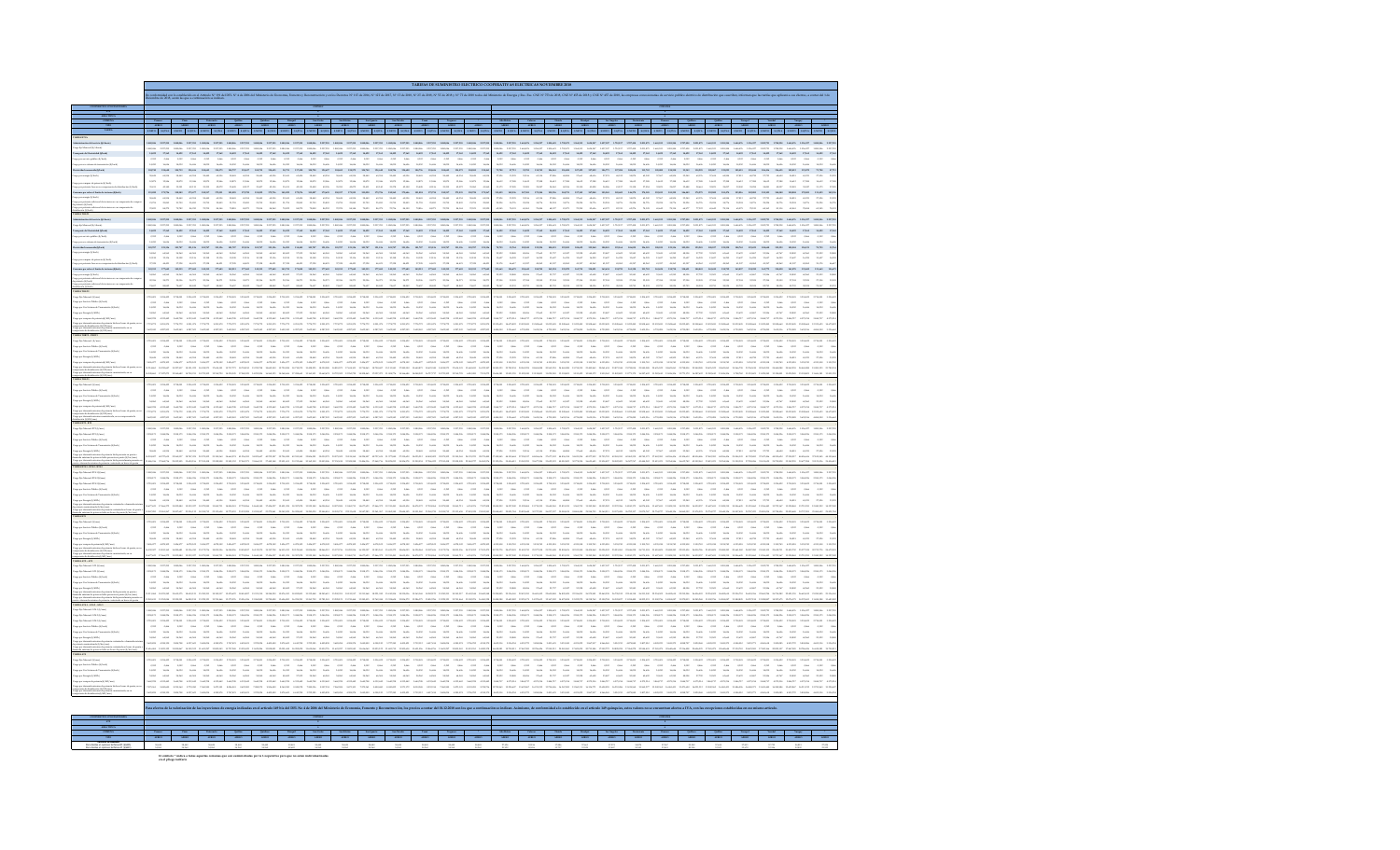|                                                                                                   |                                                                                                                                                                                                                                                                                                                                                                                                            | TARIFAS DE SUMINISTRO ELECTRICO COOPERATIVAS ELECTRICAS NOVIEMBRE 2018                                                                                                      |                                                                                                                                                                                                                                                                                                                                                                                                                                                                                                                                             |                                                                                                                                                           |                                                                           |                                                                                         |                                                                                                                                  |                                                        |                                                                                               |                                                                                                                                                                                                                                                                                                                                                                                                                                                                                                                                                                  |                                                                   |                                                                                                                                                     |                                                                                                                                                                                                                                                                                                                                                                           |                                                                     |                                                                                              |                                                       |                                                    |                                                             |                         |                                 |                              |  |  |  |  |  |
|---------------------------------------------------------------------------------------------------|------------------------------------------------------------------------------------------------------------------------------------------------------------------------------------------------------------------------------------------------------------------------------------------------------------------------------------------------------------------------------------------------------------|-----------------------------------------------------------------------------------------------------------------------------------------------------------------------------|---------------------------------------------------------------------------------------------------------------------------------------------------------------------------------------------------------------------------------------------------------------------------------------------------------------------------------------------------------------------------------------------------------------------------------------------------------------------------------------------------------------------------------------------|-----------------------------------------------------------------------------------------------------------------------------------------------------------|---------------------------------------------------------------------------|-----------------------------------------------------------------------------------------|----------------------------------------------------------------------------------------------------------------------------------|--------------------------------------------------------|-----------------------------------------------------------------------------------------------|------------------------------------------------------------------------------------------------------------------------------------------------------------------------------------------------------------------------------------------------------------------------------------------------------------------------------------------------------------------------------------------------------------------------------------------------------------------------------------------------------------------------------------------------------------------|-------------------------------------------------------------------|-----------------------------------------------------------------------------------------------------------------------------------------------------|---------------------------------------------------------------------------------------------------------------------------------------------------------------------------------------------------------------------------------------------------------------------------------------------------------------------------------------------------------------------------|---------------------------------------------------------------------|----------------------------------------------------------------------------------------------|-------------------------------------------------------|----------------------------------------------------|-------------------------------------------------------------|-------------------------|---------------------------------|------------------------------|--|--|--|--|--|
|                                                                                                   |                                                                                                                                                                                                                                                                                                                                                                                                            |                                                                                                                                                                             |                                                                                                                                                                                                                                                                                                                                                                                                                                                                                                                                             |                                                                                                                                                           |                                                                           |                                                                                         |                                                                                                                                  |                                                        |                                                                                               |                                                                                                                                                                                                                                                                                                                                                                                                                                                                                                                                                                  |                                                                   |                                                                                                                                                     |                                                                                                                                                                                                                                                                                                                                                                           |                                                                     |                                                                                              |                                                       |                                                    |                                                             |                         |                                 |                              |  |  |  |  |  |
|                                                                                                   |                                                                                                                                                                                                                                                                                                                                                                                                            |                                                                                                                                                                             |                                                                                                                                                                                                                                                                                                                                                                                                                                                                                                                                             |                                                                                                                                                           |                                                                           |                                                                                         |                                                                                                                                  |                                                        |                                                                                               |                                                                                                                                                                                                                                                                                                                                                                                                                                                                                                                                                                  |                                                                   |                                                                                                                                                     |                                                                                                                                                                                                                                                                                                                                                                           |                                                                     |                                                                                              |                                                       |                                                    |                                                             |                         |                                 |                              |  |  |  |  |  |
|                                                                                                   |                                                                                                                                                                                                                                                                                                                                                                                                            |                                                                                                                                                                             |                                                                                                                                                                                                                                                                                                                                                                                                                                                                                                                                             |                                                                                                                                                           |                                                                           |                                                                                         |                                                                                                                                  |                                                        |                                                                                               |                                                                                                                                                                                                                                                                                                                                                                                                                                                                                                                                                                  |                                                                   |                                                                                                                                                     |                                                                                                                                                                                                                                                                                                                                                                           |                                                                     |                                                                                              |                                                       |                                                    |                                                             |                         |                                 |                              |  |  |  |  |  |
|                                                                                                   |                                                                                                                                                                                                                                                                                                                                                                                                            |                                                                                                                                                                             |                                                                                                                                                                                                                                                                                                                                                                                                                                                                                                                                             |                                                                                                                                                           |                                                                           |                                                                                         |                                                                                                                                  |                                                        |                                                                                               |                                                                                                                                                                                                                                                                                                                                                                                                                                                                                                                                                                  |                                                                   |                                                                                                                                                     |                                                                                                                                                                                                                                                                                                                                                                           |                                                                     |                                                                                              |                                                       |                                                    |                                                             |                         |                                 |                              |  |  |  |  |  |
|                                                                                                   |                                                                                                                                                                                                                                                                                                                                                                                                            |                                                                                                                                                                             |                                                                                                                                                                                                                                                                                                                                                                                                                                                                                                                                             |                                                                                                                                                           |                                                                           |                                                                                         |                                                                                                                                  |                                                        |                                                                                               |                                                                                                                                                                                                                                                                                                                                                                                                                                                                                                                                                                  |                                                                   |                                                                                                                                                     |                                                                                                                                                                                                                                                                                                                                                                           |                                                                     |                                                                                              |                                                       |                                                    |                                                             |                         |                                 |                              |  |  |  |  |  |
|                                                                                                   |                                                                                                                                                                                                                                                                                                                                                                                                            |                                                                                                                                                                             |                                                                                                                                                                                                                                                                                                                                                                                                                                                                                                                                             |                                                                                                                                                           |                                                                           |                                                                                         |                                                                                                                                  |                                                        |                                                                                               |                                                                                                                                                                                                                                                                                                                                                                                                                                                                                                                                                                  |                                                                   |                                                                                                                                                     |                                                                                                                                                                                                                                                                                                                                                                           |                                                                     |                                                                                              |                                                       |                                                    |                                                             |                         |                                 |                              |  |  |  |  |  |
|                                                                                                   | 04 127,25 186,64 127,25 186,64 127,25                                                                                                                                                                                                                                                                                                                                                                      | $1.001/64 + 2.217,203$                                                                                                                                                      |                                                                                                                                                                                                                                                                                                                                                                                                                                                                                                                                             | 120,20                                                                                                                                                    | 1,680,044                                                                 |                                                                                         |                                                                                                                                  | 1,880,046                                              | 1,880,044                                                                                     | 220,20 144,4%                                                                                                                                                                                                                                                                                                                                                                                                                                                                                                                                                    | 1.054,827                                                         | 1296429                                                                                                                                             |                                                                                                                                                                                                                                                                                                                                                                           | 1437,007                                                            | 1.707,456<br>2.011.078                                                                       |                                                       |                                                    |                                                             |                         |                                 |                              |  |  |  |  |  |
|                                                                                                   | $\mathbf{u}_i\mathbf{m} = \mathbf{v}_i\mathbf{m} = \mathbf{u}_i\mathbf{m} = \mathbf{v}_i\mathbf{m} = \mathbf{u}_i\mathbf{m} = \mathbf{u}_i\mathbf{m} = \mathbf{u}_i\mathbf{m} = \mathbf{u}_i\mathbf{m} = \mathbf{u}_i\mathbf{m} = \mathbf{u}_i\mathbf{m} = \mathbf{u}_i\mathbf{m} = \mathbf{u}_i\mathbf{m} = \mathbf{u}_i\mathbf{m} = \mathbf{u}_i\mathbf{m} = \mathbf{u}_i\mathbf{m} = \mathbf{u}_i\math$ |                                                                                                                                                                             |                                                                                                                                                                                                                                                                                                                                                                                                                                                                                                                                             |                                                                                                                                                           |                                                                           |                                                                                         | 14,022 17,042 14,022 17,042 14,022 17,042 14,022 17,042                                                                          |                                                        |                                                                                               |                                                                                                                                                                                                                                                                                                                                                                                                                                                                                                                                                                  |                                                                   |                                                                                                                                                     | $\mathbf{14.423} \qquad \mathbf{17.342} \qquad \mathbf{14.333} \qquad \mathbf{17.343} \qquad \mathbf{17.343} \qquad \mathbf{18.431} \qquad \mathbf{17.341} \qquad \mathbf{17.343} \qquad \mathbf{17.343} \qquad \mathbf{17.345} \qquad \mathbf{17.342} \qquad \mathbf{17.343} \qquad \mathbf{17.345} \qquad \mathbf{17.346} \qquad \mathbf{17.345} \qquad \mathbf{17.346$ |                                                                     |                                                                                              |                                                       |                                                    | $14422 \qquad 17342 \qquad 14433 \qquad 17342 \qquad 14432$ | 17442                   |                                 |                              |  |  |  |  |  |
|                                                                                                   | $^{0,382}_{14,050}$<br>0,762 0,400<br>14,030 14,030                                                                                                                                                                                                                                                                                                                                                        | $\begin{array}{ccc} 0.04 & 0.02 & 0.04 \\ 0.08 & 0.03 & 0.08 \end{array}$<br>$\begin{array}{ccc} 0.99 & \phantom{000} & 0.408 \\ 0.09 & \phantom{000} & 16.098 \end{array}$ | $rac{6382}{14,020}$<br>$\frac{0.404}{16,026}$<br>$^{0,342}_{14,020}$                                                                                                                                                                                                                                                                                                                                                                                                                                                                        | $\frac{0.406}{10,406}$<br>$^{0,382}_{14,050}$<br>$\frac{0.244}{16 \mu m}$                                                                                 | $\frac{4382}{1489} = \frac{6488}{3688}$                                   | $^{0,202}_{34,020}$<br>$\frac{0.404}{16,456}$<br>$\frac{6002}{14470}$                   | $\frac{0.404}{10,0.76}$<br>$\begin{array}{c} 0.942 \\ 14,020 \end{array}$<br>$\frac{0.248}{20,0.96}$                             | $\frac{0.782}{16,020}$<br>$\frac{0.208}{16,876}$       | $^{4,342}_{14,830}$<br>$\begin{array}{c} 0.008 \\ 16.058 \end{array}$                         | $\begin{array}{cccc} 0.92 & . & 0.48 & . & 0.92 \\ 0.03 & . & 0.48 & . & 0.92 \\ \end{array}$<br>sum-                                                                                                                                                                                                                                                                                                                                                                                                                                                            |                                                                   | $\begin{array}{ccc} 0.048 & & 0.792 \\ 10.078 & & 14.050 \\ \end{array}$<br>$\frac{0.406}{10,476}$                                                  | $\frac{0.76}{16.06}$ = $\frac{0.86}{16.06}$                                                                                                                                                                                                                                                                                                                               | $^{4,342}_{14,830}$<br>$\frac{0.504}{16.676}$                       | $\begin{array}{ccc} 0.99 & 0.446 \\ 0.09 & 0.446 \end{array}$                                | $\frac{0.382}{14,020}$<br>$\frac{0.004}{10,026}$      | $\frac{4392}{14870}$<br>$\frac{0.408}{10,0.76}$    | 0,702<br>$\frac{0.204}{16,0\%}$<br>14,830                   | 4,302<br>to me.         | $\frac{0.504}{16,676}$<br>4,782 | $\alpha, \omega a$<br>$\sim$ |  |  |  |  |  |
|                                                                                                   | MCR 1000 MCN 1000 M00 MCN 1000 MCN 1000 MCN 900 MCN 1000 MCN 1000 MCN 1000 MCN 1000 MCN 1000 MCN 1000 MCN 1000 MCN                                                                                                                                                                                                                                                                                         |                                                                                                                                                                             |                                                                                                                                                                                                                                                                                                                                                                                                                                                                                                                                             |                                                                                                                                                           |                                                                           |                                                                                         |                                                                                                                                  |                                                        |                                                                                               |                                                                                                                                                                                                                                                                                                                                                                                                                                                                                                                                                                  |                                                                   |                                                                                                                                                     | для куп чем щен нам памя неда шеда надт шена нада пода нами памя нами нада нада нада неда неда                                                                                                                                                                                                                                                                            |                                                                     |                                                                                              |                                                       |                                                    |                                                             |                         | 125,444                         |                              |  |  |  |  |  |
| .<br>Parametria (h. 144                                                                           | $\begin{array}{ccc} 0.04 & 0.40 \\ 0.04 & 0.09 \\ 0.06 & 0.09 \end{array}$<br>$\begin{array}{c} 0.014 \\ 0.014 \\ 0.048 \end{array}$                                                                                                                                                                                                                                                                       | $\frac{1}{1000} = \frac{1}{1000}$<br>$\frac{9.49}{10.05}$<br>$\frac{49,354}{12,846}$                                                                                        | $\frac{9544}{10876}$<br>$\begin{array}{c} 0.374 \\ 12,048 \end{array}$<br>$\begin{array}{c} 15.66 \\ 10.879 \end{array}$                                                                                                                                                                                                                                                                                                                                                                                                                    | $\frac{d\mu}{d\mu}$<br>$\frac{10,40}{10,09}$<br>$\begin{array}{c} 0.014 \\ 0.014 \\ 0.048 \end{array}$                                                    | $\frac{9549}{16878}$<br>$\frac{\sigma_{\rm{NN}}}{100}$<br>$\frac{1}{100}$ | $\begin{array}{c} 0.04 \\ 0.04 \end{array}$<br>$\frac{9644}{10876}$                     | $\begin{array}{c} 0.334 \\ 12,048 \end{array}$<br>$\frac{10.449}{10.079}$<br>$\begin{array}{c} 0.35 \\ 0.35 \\ 0.04 \end{array}$ | $\frac{9649}{10878}$<br>$^{19,354}_{12,866}$           | $\frac{9549}{1089}$<br>$\frac{1}{12}$                                                         | $\frac{x}{u_0}$<br>$\begin{array}{ccc} \text{max} & \text{min} \\ \text{max} & \text{max} \end{array}$                                                                                                                                                                                                                                                                                                                                                                                                                                                           | $\begin{array}{c} -43.114 \\ -17,388 \end{array}$                 | $17,004$<br>$14,012$<br>$\frac{1}{12,500}$                                                                                                          | $\frac{17,04}{16,03} = \frac{17,04}{17,06}$                                                                                                                                                                                                                                                                                                                               | $\frac{10,074}{14,012}$<br>$\frac{6032}{17388}$                     | $\frac{nm}{nm}$<br>$\frac{a_{i}m}{v_{i}m}$                                                   | $\frac{97,967}{14,612}$<br>$\frac{48304}{17,388}$     | $\frac{12.249}{14.012}$<br>$\frac{a_{i}m}{a_{i}m}$ | $_{\rm HAB}^{\rm HAB}$<br>$\frac{1000}{1700}$               | $\frac{17,013}{14,012}$ | $\frac{68798}{17,388}$          |                              |  |  |  |  |  |
|                                                                                                   | 0.18<br>$n_{\rm BH}$<br>$\alpha$                                                                                                                                                                                                                                                                                                                                                                           | $_{mm}$<br>$\alpha$<br>$n \in \mathbb{N}$<br>12.57                                                                                                                          | $_{max}$<br>$_{max}$<br>ans.                                                                                                                                                                                                                                                                                                                                                                                                                                                                                                                | $\alpha$<br>$_{max}$<br>$\alpha$                                                                                                                          |                                                                           |                                                                                         |                                                                                                                                  |                                                        |                                                                                               | $n_{\rm IR}$<br>$\mathcal{L}$                                                                                                                                                                                                                                                                                                                                                                                                                                                                                                                                    | $_{\rm max}$<br>1000                                              | $\overline{a}$<br><b>NAME</b>                                                                                                                       | $_{max}$<br>0.68                                                                                                                                                                                                                                                                                                                                                          | $\frac{1}{2}$<br>3438                                               | $\mathbf{m}$<br>27.01                                                                        | 12.82                                                 | $_{max}$<br>12.00                                  | $\sim$<br>$\sim$                                            |                         |                                 |                              |  |  |  |  |  |
|                                                                                                   | $\mathbf{u}_i \mathbf{m} = \mathbf{u}_i \mathbf{m} = \mathbf{u}_i \mathbf{m} = \mathbf{u}_i \mathbf{m} = \mathbf{u}_i \mathbf{m} = \mathbf{u}_i \mathbf{m} = \mathbf{u}_i \mathbf{m} = \mathbf{u}_i \mathbf{m} = \mathbf{u}_i \mathbf{m} = \mathbf{u}_i \mathbf{m} = \mathbf{u}_i \mathbf{m} = \mathbf{u}_i \mathbf{m} = \mathbf{u}_i \mathbf{m}$<br><b>MAP</b>                                            | entra                                                                                                                                                                       | <b>MARY</b><br>entra<br>12.441                                                                                                                                                                                                                                                                                                                                                                                                                                                                                                              | 10,409<br>enzos                                                                                                                                           | <b>MAP</b><br><b>State</b>                                                | <b>MAP</b><br>0.354                                                                     | entra<br>mage<br>49,334                                                                                                          | 56,449                                                 |                                                                                               | $\pi\mu\alpha$                                                                                                                                                                                                                                                                                                                                                                                                                                                                                                                                                   |                                                                   |                                                                                                                                                     | тация вери вери тери тери вида вери вери вери терия видит вида веден вери<br>$37,661$<br><b>CASE</b>                                                                                                                                                                                                                                                                      | 46312                                                               | 45,500<br><b>NAT'L</b>                                                                       | 48,000                                                | 12241<br>42,179                                    | 10,000 170,275 182,500 183,076<br><b>STAN</b><br><b>COM</b> | 17,823                  |                                 |                              |  |  |  |  |  |
|                                                                                                   | $\frac{0.35}{20.02}$<br>$\begin{array}{ccc} 0.49 & = & 0.04 \\ 10.79 & = & 20.03 \end{array}$                                                                                                                                                                                                                                                                                                              | $\frac{m m}{n m} = \frac{m m}{n m}$<br>$\frac{m\omega}{m\tau\omega}$                                                                                                        |                                                                                                                                                                                                                                                                                                                                                                                                                                                                                                                                             | $\frac{d\mu}{d\mu}$                                                                                                                                       | $\frac{1000}{2000}$                                                       |                                                                                         |                                                                                                                                  |                                                        | $\begin{array}{c} 10,449 \\ 21,799 \end{array}$<br>$\frac{49334}{25893}$                      | $\begin{array}{cc} n m & n m \\ n m & n m \end{array}$<br>$_{\rm{max}}$                                                                                                                                                                                                                                                                                                                                                                                                                                                                                          | $\frac{4334}{3479}$                                               | $\frac{17,004}{29,224}$<br>$\frac{0.06}{\rm N/25}$                                                                                                  |                                                                                                                                                                                                                                                                                                                                                                           | $\frac{17374}{29324}$                                               |                                                                                              | $\frac{17,007}{29,204}$                               |                                                    |                                                             |                         |                                 |                              |  |  |  |  |  |
|                                                                                                   | 31,502<br>14270                                                                                                                                                                                                                                                                                                                                                                                            | 70,709                                                                                                                                                                      |                                                                                                                                                                                                                                                                                                                                                                                                                                                                                                                                             |                                                                                                                                                           |                                                                           |                                                                                         |                                                                                                                                  |                                                        |                                                                                               | 74,246                                                                                                                                                                                                                                                                                                                                                                                                                                                                                                                                                           |                                                                   |                                                                                                                                                     |                                                                                                                                                                                                                                                                                                                                                                           |                                                                     |                                                                                              |                                                       |                                                    |                                                             |                         |                                 |                              |  |  |  |  |  |
|                                                                                                   |                                                                                                                                                                                                                                                                                                                                                                                                            |                                                                                                                                                                             |                                                                                                                                                                                                                                                                                                                                                                                                                                                                                                                                             |                                                                                                                                                           |                                                                           |                                                                                         |                                                                                                                                  |                                                        |                                                                                               |                                                                                                                                                                                                                                                                                                                                                                                                                                                                                                                                                                  |                                                                   |                                                                                                                                                     |                                                                                                                                                                                                                                                                                                                                                                           |                                                                     |                                                                                              |                                                       |                                                    |                                                             |                         |                                 |                              |  |  |  |  |  |
| <b>CONTRACTOR</b>                                                                                 | nuo cua nuo cua nuo cua cua nuo cua nuo cua nuo cua nuo cua cua nuo cua nuo cua nuo cua nuo cua cua cua nuo cu                                                                                                                                                                                                                                                                                             |                                                                                                                                                                             |                                                                                                                                                                                                                                                                                                                                                                                                                                                                                                                                             |                                                                                                                                                           |                                                                           |                                                                                         |                                                                                                                                  |                                                        |                                                                                               |                                                                                                                                                                                                                                                                                                                                                                                                                                                                                                                                                                  |                                                                   |                                                                                                                                                     | $16423 \quad 17342 \quad 16423 \quad 17342 \quad 17342 \quad 18423 \quad 17343 \quad 16423 \quad 17342 \quad 18423 \quad 17342 \quad 16423 \quad 17342 \quad 16423 \quad 17342 \quad 16423 \quad 17343 \quad 17344 \quad 17345 \quad 17345 \quad 17345 \quad 17345 \quad 17345 \quad 17345 \quad 17345 \quad 17345 \quad 17345 \quad 1734$                                |                                                                     |                                                                                              |                                                       |                                                    |                                                             |                         |                                 |                              |  |  |  |  |  |
|                                                                                                   |                                                                                                                                                                                                                                                                                                                                                                                                            | $0.70\qquad -0.401$<br>same                                                                                                                                                 | 0,312<br>0,466<br>0,742<br>sem<br><b>State</b><br>14.076                                                                                                                                                                                                                                                                                                                                                                                                                                                                                    | 4,446<br>0,382<br>0,200<br>1000<br>14.020<br><b>State</b>                                                                                                 | 4,342<br>0,200<br>tazo<br><b>MAN</b>                                      | 4,782<br>0,406<br>0,392<br>14.020<br>sem                                                | 1,444<br>0,392<br>0.488<br>14mm<br>100                                                                                           | 0,742<br>0,466<br>14.630                               | $^{4,342}_{14,830}$<br>$-0.404$<br>$14,476$                                                   | 0,710<br>$\frac{0.406}{10,0.96}$<br>same                                                                                                                                                                                                                                                                                                                                                                                                                                                                                                                         | 0,762<br>1,444<br>same<br><b>State</b>                            | 0,342<br>$\frac{0.408}{10,0.98}$                                                                                                                    | 0,742<br>0,200<br>14.420                                                                                                                                                                                                                                                                                                                                                  | 0,392<br>0,200<br>14420                                             | 0,710<br>0,466<br>14.02                                                                      | 0,792<br>4,444                                        | 0,382<br>qass<br>14mm<br>$\frac{1}{2}$             | 0,342                                                       |                         |                                 |                              |  |  |  |  |  |
|                                                                                                   | наде нада наде нада наде нада наде нада                                                                                                                                                                                                                                                                                                                                                                    |                                                                                                                                                                             |                                                                                                                                                                                                                                                                                                                                                                                                                                                                                                                                             |                                                                                                                                                           |                                                                           |                                                                                         |                                                                                                                                  |                                                        | $10.50\,$ $ 10.15\,$ $ 10.50\,$ $ 10.15\,$                                                    |                                                                                                                                                                                                                                                                                                                                                                                                                                                                                                                                                                  |                                                                   |                                                                                                                                                     | 5,56 6,54 80,66 10,04 10,05 10,00 10,00 10,54 10,04 10,04 10,05 10,06 10,05 10,06                                                                                                                                                                                                                                                                                         |                                                                     |                                                                                              |                                                       |                                                    |                                                             |                         |                                 |                              |  |  |  |  |  |
| .<br>In the mangle (h/kmh)                                                                        | <b>ALM</b><br>14,340<br><b>ALDAM</b><br>$_{\rm 0.1h}$<br>13,208                                                                                                                                                                                                                                                                                                                                            | 14240<br><b>ALM</b><br>34,340<br><b>ALMS</b><br>$_{\rm 13.1\%}$                                                                                                             | <b>NOW</b><br>nates<br>46442                                                                                                                                                                                                                                                                                                                                                                                                                                                                                                                | 87,002<br>14,30<br>14249                                                                                                                                  | <b>Abin</b><br>54,560<br>54,240                                           | <b>ALMS</b><br>14240                                                                    | <b>N</b> 240<br><b>ALLIN</b><br>nation                                                                                           | 56240<br><b>TAXABLE</b>                                | <b>NAM</b><br>saw<br>$10008$                                                                  | 20,622<br>30,648<br>$_{\rm 14,246}$                                                                                                                                                                                                                                                                                                                                                                                                                                                                                                                              | <b>Auto</b><br>17,642<br>13,007                                   | $n \times n$<br>$-0.047$<br>$_{\rm 5,200}$                                                                                                          | 85,826<br><b>Curry</b>                                                                                                                                                                                                                                                                                                                                                    | 33447<br><b>AMIX</b>                                                | $M_1$ 6 $M_2$<br>40,620                                                                      | <b>Start</b><br>43,995                                | 4004<br>8720                                       | $_{max}$<br><b>KSAM</b>                                     | 53,479                  |                                 |                              |  |  |  |  |  |
|                                                                                                   | $\mu$<br>27.328<br><b>ALCO</b>                                                                                                                                                                                                                                                                                                                                                                             | $\frac{1}{2}$<br><b>ALCO</b><br>222                                                                                                                                         | 37,228                                                                                                                                                                                                                                                                                                                                                                                                                                                                                                                                      | ALC: Y<br>ALC:N                                                                                                                                           | $\mu$                                                                     | <b>TELES</b>                                                                            | ALC: Y                                                                                                                           | 17.326<br>ALC: Y                                       | $\frac{1}{2}$<br>$\overline{a}$                                                               | 20.176<br>$_{\rm{BAT}}$                                                                                                                                                                                                                                                                                                                                                                                                                                                                                                                                          | 0.85<br>0.262                                                     | 0.362<br>an war                                                                                                                                     | 0.202                                                                                                                                                                                                                                                                                                                                                                     |                                                                     | <b>ALC:</b>                                                                                  | 41.007                                                | 0.242                                              |                                                             |                         |                                 |                              |  |  |  |  |  |
| lan,<br><b>Common por soliva, .</b><br>Corgo por mergia (h <sub>a</sub> landa)<br>- - rendatadore | N.No.                                                                                                                                                                                                                                                                                                                                                                                                      |                                                                                                                                                                             | nates                                                                                                                                                                                                                                                                                                                                                                                                                                                                                                                                       |                                                                                                                                                           |                                                                           |                                                                                         |                                                                                                                                  | 44,569                                                 |                                                                                               | 29,922                                                                                                                                                                                                                                                                                                                                                                                                                                                                                                                                                           |                                                                   |                                                                                                                                                     |                                                                                                                                                                                                                                                                                                                                                                           |                                                                     |                                                                                              |                                                       |                                                    |                                                             |                         |                                 |                              |  |  |  |  |  |
|                                                                                                   | $\frac{1000}{1000}$<br>$\begin{array}{c} 14,300 \\ 23,304 \end{array}$<br>$\frac{44348}{34271}$                                                                                                                                                                                                                                                                                                            | $\frac{100}{100} = \frac{400}{100}$<br>$\frac{nm}{nm}$<br>$\frac{64,507}{24,271}$                                                                                           | $\frac{\rm NDSI}{20206}$                                                                                                                                                                                                                                                                                                                                                                                                                                                                                                                    | $\frac{16.267}{20,766}$<br>$\frac{w,m}{m,m}$<br>$\frac{44348}{34271}$                                                                                     | $\frac{438}{1425}$<br>$\frac{54,260}{26,796}$                             | $\frac{_{\rm N200}}{_{\rm 2070}}$<br>$\frac{64,507}{24,271}$<br>$\frac{54,200}{20,200}$ | $\frac{44349}{24371}$<br>$\frac{14240}{28396}$<br>$\frac{m \lambda \sigma}{m \lambda \tau \tau}$                                 | $\frac{N_c 34}{20,76}$<br>$_{\rm{max}}$                | $\begin{array}{c} 64,007 \\ 24,271 \end{array}$<br>$\frac{54,260}{20,296}$                    | $\frac{NAR}{N, 2H}$<br>$_{\rm 200}$                                                                                                                                                                                                                                                                                                                                                                                                                                                                                                                              | $\frac{40.428}{27,204}$<br>$\frac{37 \, \mu a \, 2}{32 \, \mu m}$ | $\frac{1079}{27594}$<br>$\frac{d/d^2}{32H}$                                                                                                         | $\frac{_{\rm{N,IR}}}{_{\rm{27,94}}}$<br>$\frac{47,028}{32,309}$                                                                                                                                                                                                                                                                                                           | $\begin{array}{c} 37,447 \\ 27,394 \end{array}$                     | $\frac{40,620}{32,349}$                                                                      | $\frac{M_{\rm BH}}{27,204}$                           | $\frac{37,720}{32,300}$                            |                                                             |                         |                                 |                              |  |  |  |  |  |
| <b>BATEATI</b>                                                                                    |                                                                                                                                                                                                                                                                                                                                                                                                            |                                                                                                                                                                             |                                                                                                                                                                                                                                                                                                                                                                                                                                                                                                                                             |                                                                                                                                                           |                                                                           |                                                                                         |                                                                                                                                  |                                                        |                                                                                               |                                                                                                                                                                                                                                                                                                                                                                                                                                                                                                                                                                  |                                                                   |                                                                                                                                                     |                                                                                                                                                                                                                                                                                                                                                                           |                                                                     |                                                                                              |                                                       |                                                    |                                                             |                         |                                 |                              |  |  |  |  |  |
|                                                                                                   | courts thanks reach thanks and                                                                                                                                                                                                                                                                                                                                                                             |                                                                                                                                                                             |                                                                                                                                                                                                                                                                                                                                                                                                                                                                                                                                             |                                                                                                                                                           |                                                                           |                                                                                         |                                                                                                                                  |                                                        |                                                                                               | THIS 12MAD 27MAD                                                                                                                                                                                                                                                                                                                                                                                                                                                                                                                                                 | 3234422                                                           | 323422                                                                                                                                              |                                                                                                                                                                                                                                                                                                                                                                           |                                                                     |                                                                                              |                                                       |                                                    |                                                             |                         |                                 |                              |  |  |  |  |  |
|                                                                                                   |                                                                                                                                                                                                                                                                                                                                                                                                            |                                                                                                                                                                             |                                                                                                                                                                                                                                                                                                                                                                                                                                                                                                                                             | $\label{eq:4} \eta_{\rm dN} = - \eta_{\rm cN} = - \eta_{\rm dN} = - \eta_{\rm cN} = - \eta_{\rm dN}$<br>$1689 = 1689 = 1689 = 1689 = 1689 = 1689 = 1689.$ | ---                                                                       | $0.702\ldots=0.406$<br>0,002<br>1409 1409<br>same.                                      | 0.486<br>0,444<br><b>Sum</b><br>16499 14230                                                                                      | 0,102<br>0,444<br><b>SEN DUN</b>                       | 4,912<br>$\begin{array}{c} 0.404 \\ 16.098 \\ 0.049 \\ 0.049 \end{array}$<br>14490            |                                                                                                                                                                                                                                                                                                                                                                                                                                                                                                                                                                  |                                                                   | $\begin{tabular}{lccccccccc} \bf 1459 & 1649 & 1649 & 1649 & 1649 & 1649 \\ \bf 1450 & 1649 & 1649 & 1649 & 1649 & 1649 \\ \end{tabular}$           |                                                                                                                                                                                                                                                                                                                                                                           | $\label{eq:4} 0.36 \qquad 0.06 \qquad 0.06 \qquad 0.02 \qquad 0.06$ | $0.792 - 0.446$                                                                              | 0,392<br>$\alpha_{\rm d}$<br>14,470                   | 0.792<br>0.488<br>14030<br><b>State</b>            | 0,742<br>0,444<br>ters term                                 | 4,742<br>14,030         | 0,500<br>14,4%                  |                              |  |  |  |  |  |
|                                                                                                   | $_{\rm star}$<br>$_{\rm N,200}$                                                                                                                                                                                                                                                                                                                                                                            | $_{\rm max}$<br>$_{\rm N200}$<br>$_{\rm N200}$                                                                                                                              | <b>N</b> 260                                                                                                                                                                                                                                                                                                                                                                                                                                                                                                                                |                                                                                                                                                           |                                                                           | $_{\text{M200}}$                                                                        |                                                                                                                                  | $_{\text{N20}}$<br><b>ALMA</b>                         | $_{\text{N202}}$                                                                              | $_{\rm{max}}$<br>$_{\rm 20,822}$                                                                                                                                                                                                                                                                                                                                                                                                                                                                                                                                 | $_{\rm max}$<br>$87 \mu s2$                                       | $_{\rm CO}$<br>$_{\rm H277}$                                                                                                                        | $_{\rm{N,IR}}$                                                                                                                                                                                                                                                                                                                                                            |                                                                     | $_{\text{M},\text{NL}}$                                                                      | <b>Main</b>                                           | $_{\rm 8720}$                                      |                                                             |                         |                                 |                              |  |  |  |  |  |
| .<br>Carlos companyole policy                                                                     | יסטוני מטומו מטומו מטומו מטומו מטומו מטומו מטומו מטומו מטומו מטומו מטומו מטומו מטומו מטומו מטומו מטומו מטו                                                                                                                                                                                                                                                                                                 |                                                                                                                                                                             |                                                                                                                                                                                                                                                                                                                                                                                                                                                                                                                                             |                                                                                                                                                           |                                                                           |                                                                                         |                                                                                                                                  | $2224, 222 - 9.201, 679 = 2.224, 222 = 9.201, 679$     |                                                                                               |                                                                                                                                                                                                                                                                                                                                                                                                                                                                                                                                                                  |                                                                   |                                                                                                                                                     | ותמור מתאר התמור המאור וממור התאר המאור המאור המאור וממור ומאור המאור המאור המאור התאר וממור המאור המאור המאור                                                                                                                                                                                                                                                            |                                                                     |                                                                                              |                                                       |                                                    |                                                             |                         |                                 |                              |  |  |  |  |  |
|                                                                                                   |                                                                                                                                                                                                                                                                                                                                                                                                            |                                                                                                                                                                             |                                                                                                                                                                                                                                                                                                                                                                                                                                                                                                                                             |                                                                                                                                                           |                                                                           |                                                                                         |                                                                                                                                  |                                                        |                                                                                               | 49,000 PA/CL SA/CL PA/AL                                                                                                                                                                                                                                                                                                                                                                                                                                                                                                                                         |                                                                   |                                                                                                                                                     |                                                                                                                                                                                                                                                                                                                                                                           |                                                                     |                                                                                              |                                                       |                                                    |                                                             |                         |                                 |                              |  |  |  |  |  |
| <b>BATHELL-THELL</b><br>of the Memoral (8/mm)                                                     | 1004127 100612 100612 100                                                                                                                                                                                                                                                                                                                                                                                  |                                                                                                                                                                             |                                                                                                                                                                                                                                                                                                                                                                                                                                                                                                                                             |                                                                                                                                                           |                                                                           |                                                                                         |                                                                                                                                  |                                                        |                                                                                               | 79,00 125,00 179,00                                                                                                                                                                                                                                                                                                                                                                                                                                                                                                                                              |                                                                   |                                                                                                                                                     |                                                                                                                                                                                                                                                                                                                                                                           |                                                                     |                                                                                              |                                                       |                                                    |                                                             |                         |                                 |                              |  |  |  |  |  |
|                                                                                                   | $\label{eq:4.1} \epsilon_{\rm d} m = -\epsilon_{\rm c} m = -\epsilon_{\rm d} m = -\epsilon_{\rm c} m = -\epsilon_{\rm d} m$                                                                                                                                                                                                                                                                                |                                                                                                                                                                             | $\alpha_{\rm d}$ and $\alpha_{\rm d}$                                                                                                                                                                                                                                                                                                                                                                                                                                                                                                       |                                                                                                                                                           |                                                                           |                                                                                         |                                                                                                                                  |                                                        |                                                                                               |                                                                                                                                                                                                                                                                                                                                                                                                                                                                                                                                                                  |                                                                   | $0.98\cdots 0.488\cdots 0.96\cdots 0.488\cdots 0.96\cdots 0.488$                                                                                    |                                                                                                                                                                                                                                                                                                                                                                           |                                                                     |                                                                                              |                                                       |                                                    |                                                             |                         |                                 |                              |  |  |  |  |  |
|                                                                                                   | 14.070<br>$\begin{array}{ccccccccc} 1648 & -1649 & -1688 & -1639 & -1688 \\ 0334 & -1649 & -0334 & -1649 & -0334 \end{array}$                                                                                                                                                                                                                                                                              | 14,030 14,4%<br>$_{\rm max}$                                                                                                                                                | sere<br>14,4%<br>14.030                                                                                                                                                                                                                                                                                                                                                                                                                                                                                                                     | <b>Sum</b><br>14,030<br><b>State</b>                                                                                                                      | 14492<br>$_{\rm max}^{\rm 16,88}$                                         | same.<br>14,456<br>140mm                                                                | 14,470<br>14,030<br><b>SLAW</b>                                                                                                  | 14.6%<br><b>State</b><br>$_{\rm{max}}$                 | $\begin{array}{c} 0.408 \\ 16.858 \\ 0.334 \end{array}$<br>14,000<br>$_{\rm{max}}$            |                                                                                                                                                                                                                                                                                                                                                                                                                                                                                                                                                                  |                                                                   | $\frac{20,020}{40,006}$                                                                                                                             | NOW NOW<br>$_{\rm 87,640}$                                                                                                                                                                                                                                                                                                                                                | 14430<br>14,4%<br>12.374                                            | same.<br>10,400<br>$_{\rm{NFR}}$                                                             | same.<br>14,470                                       | 14030<br>$_{\rm 500}$<br>$_{\rm{ann}}$             | 14.6%<br><b>State</b><br>$_{\rm{HAN}}$                      | 14,032                  |                                 |                              |  |  |  |  |  |
|                                                                                                   |                                                                                                                                                                                                                                                                                                                                                                                                            |                                                                                                                                                                             |                                                                                                                                                                                                                                                                                                                                                                                                                                                                                                                                             |                                                                                                                                                           |                                                                           |                                                                                         |                                                                                                                                  | ACRAIG SAWAY ACRAIG SAWAY                              | Arrests.                                                                                      |                                                                                                                                                                                                                                                                                                                                                                                                                                                                                                                                                                  |                                                                   |                                                                                                                                                     | .<br>There alread annual annual annual annual annual annual annual annual annual annual annual annual annual annual                                                                                                                                                                                                                                                       |                                                                     |                                                                                              |                                                       |                                                    |                                                             |                         |                                 |                              |  |  |  |  |  |
|                                                                                                   |                                                                                                                                                                                                                                                                                                                                                                                                            |                                                                                                                                                                             |                                                                                                                                                                                                                                                                                                                                                                                                                                                                                                                                             |                                                                                                                                                           |                                                                           |                                                                                         |                                                                                                                                  |                                                        |                                                                                               |                                                                                                                                                                                                                                                                                                                                                                                                                                                                                                                                                                  |                                                                   |                                                                                                                                                     |                                                                                                                                                                                                                                                                                                                                                                           |                                                                     |                                                                                              |                                                       |                                                    |                                                             |                         |                                 |                              |  |  |  |  |  |
| <b>FATEATI</b>                                                                                    |                                                                                                                                                                                                                                                                                                                                                                                                            |                                                                                                                                                                             |                                                                                                                                                                                                                                                                                                                                                                                                                                                                                                                                             |                                                                                                                                                           |                                                                           |                                                                                         |                                                                                                                                  |                                                        |                                                                                               |                                                                                                                                                                                                                                                                                                                                                                                                                                                                                                                                                                  |                                                                   |                                                                                                                                                     |                                                                                                                                                                                                                                                                                                                                                                           |                                                                     |                                                                                              |                                                       |                                                    |                                                             |                         |                                 |                              |  |  |  |  |  |
|                                                                                                   | 600 325602 275601 325602 275601<br>$_{\rm{max}}$<br>$_{0,\mathrm{NS}}$<br>$_{\rm 0.04}$                                                                                                                                                                                                                                                                                                                    | $_{\rm 4342}$<br>$_{\rm 0.00}$<br>$_{0,202}$<br>0, 206                                                                                                                      | 0,392                                                                                                                                                                                                                                                                                                                                                                                                                                                                                                                                       |                                                                                                                                                           |                                                                           |                                                                                         |                                                                                                                                  |                                                        | 4,392                                                                                         | 79,00 325,422 279,00<br>$_{\rm 0,406}$<br>4210                                                                                                                                                                                                                                                                                                                                                                                                                                                                                                                   | $_{0,962}$<br>$\epsilon_{\rm dbb}$                                | $_{\rm COG}$<br>$\alpha$                                                                                                                            | $_{0,90}$<br>$_{\rm gas}$                                                                                                                                                                                                                                                                                                                                                 | 4,942<br>$_{0.066}$                                                 |                                                                                              |                                                       |                                                    |                                                             |                         |                                 |                              |  |  |  |  |  |
|                                                                                                   | $\mathbf{u}_i \mathbf{w}_i = \mathbf{u}_i \mathbf{w}_i = \mathbf{u}_i \mathbf{w}_i = \mathbf{u}_i \mathbf{w}_i = \mathbf{u}_i \mathbf{w}_i = \mathbf{u}_i \mathbf{w}_i = \mathbf{u}_i \mathbf{w}_i = \mathbf{u}_i \mathbf{w}_i = \mathbf{u}_i \mathbf{w}_i = \mathbf{u}_i \mathbf{w}_i$                                                                                                                    |                                                                                                                                                                             |                                                                                                                                                                                                                                                                                                                                                                                                                                                                                                                                             | <b>SLAW</b><br>14,050                                                                                                                                     | Sum 1400 Sum                                                              | 14,030 14,4%<br>14,000                                                                  | 14,4%<br>14,030<br><b>SLAW</b>                                                                                                   | 14,430<br><b>SUN</b>                                   | $\begin{array}{c} 0.408 \\ 24,098 \\ 0.0789 \end{array}$<br>14,650                            |                                                                                                                                                                                                                                                                                                                                                                                                                                                                                                                                                                  |                                                                   | $14,00 \qquad 16,00 \qquad 14,00 \qquad 16,00 \qquad 14,00 \qquad 16,00$                                                                            |                                                                                                                                                                                                                                                                                                                                                                           | $14,000 \qquad 16,000 \qquad 14,000 \qquad 16,000 \qquad 14,000$    | 14,4%                                                                                        | 14,000<br>14,4%                                       | 14,030<br><b>SLAW</b>                              | sum sum                                                     | 14,050<br><b>State</b>  |                                 |                              |  |  |  |  |  |
|                                                                                                   | $_{\rm N,200}$                                                                                                                                                                                                                                                                                                                                                                                             | $_{\rm max}$<br>14,360                                                                                                                                                      |                                                                                                                                                                                                                                                                                                                                                                                                                                                                                                                                             |                                                                                                                                                           |                                                                           | <b>N</b>                                                                                |                                                                                                                                  |                                                        |                                                                                               | $_{\rm{max}}$ $ _{\rm{max}}$<br>$_{\rm 20,622}$                                                                                                                                                                                                                                                                                                                                                                                                                                                                                                                  | 87,002                                                            | $_{\rm CO}$<br>$_{\rm N237}$                                                                                                                        | 10,326<br>ותמום מתגום ומנחה מתוכן המנחה מתחום ומנחה מתוכן מתחום ומנחה ומנחה ומנחה מתחום מתמכן מתחום ומנחה מתוכן מבחום מת                                                                                                                                                                                                                                                  |                                                                     |                                                                                              |                                                       | $_{\rm 8720}$                                      |                                                             |                         |                                 |                              |  |  |  |  |  |
|                                                                                                   |                                                                                                                                                                                                                                                                                                                                                                                                            |                                                                                                                                                                             | $\label{eq:main} \text{case:} \quad \text{time:} \quad \text{time:} \quad \text{time:} \quad \text{time:} \quad \text{time:} \quad \text{time:} \quad \text{time:} \quad \text{time:} \quad \text{time:} \quad \text{time:} \quad \text{time:} \quad \text{time:} \quad \text{time:} \quad \text{time:} \quad \text{time:} \quad \text{time:} \quad \text{time:} \quad \text{time:} \quad \text{time:} \quad \text{time:} \quad \text{time:} \quad \text{time:} \quad \text{time:} \quad \text{time:} \quad \text{time:} \quad \text{time:$ |                                                                                                                                                           |                                                                           |                                                                                         |                                                                                                                                  |                                                        |                                                                                               | $\label{eq:10} \begin{minipage}{.4\linewidth} \begin{minipage}{.4\linewidth} \begin{minipage}{.4\linewidth} \begin{minipage}{.4\linewidth} \end{minipage} \begin{minipage}{.4\linewidth} \begin{minipage}{.4\linewidth} \end{minipage} \begin{minipage}{.4\linewidth} \end{minipage} \begin{minipage}{.4\linewidth} \begin{minipage}{.4\linewidth} \end{minipage} \begin{minipage}{.4\linewidth} \begin{minipage}{.4\linewidth} \end{minipage} \begin{minipage}{.4\linewidth} \end{minipage} \begin{minipage}{.4\linewidth} \begin{minipage}{.4\linewidth} \end$ |                                                                   |                                                                                                                                                     |                                                                                                                                                                                                                                                                                                                                                                           |                                                                     |                                                                                              |                                                       |                                                    |                                                             |                         |                                 |                              |  |  |  |  |  |
| <b>COL-ED.48</b>                                                                                  | THERE FROM ENGINE RESEA DAGNE RECENT DROM SHOW ON DRU                                                                                                                                                                                                                                                                                                                                                      |                                                                                                                                                                             |                                                                                                                                                                                                                                                                                                                                                                                                                                                                                                                                             |                                                                                                                                                           |                                                                           |                                                                                         |                                                                                                                                  |                                                        |                                                                                               | PROTES SAULE DEARS                                                                                                                                                                                                                                                                                                                                                                                                                                                                                                                                               |                                                                   |                                                                                                                                                     |                                                                                                                                                                                                                                                                                                                                                                           |                                                                     |                                                                                              |                                                       |                                                    |                                                             |                         |                                 |                              |  |  |  |  |  |
|                                                                                                   |                                                                                                                                                                                                                                                                                                                                                                                                            |                                                                                                                                                                             |                                                                                                                                                                                                                                                                                                                                                                                                                                                                                                                                             |                                                                                                                                                           |                                                                           |                                                                                         |                                                                                                                                  |                                                        |                                                                                               | <b>Middle 22720 14625</b>                                                                                                                                                                                                                                                                                                                                                                                                                                                                                                                                        |                                                                   |                                                                                                                                                     |                                                                                                                                                                                                                                                                                                                                                                           |                                                                     |                                                                                              |                                                       |                                                    |                                                             |                         |                                 |                              |  |  |  |  |  |
| come beneat Public of Card                                                                        |                                                                                                                                                                                                                                                                                                                                                                                                            |                                                                                                                                                                             | nass.<br>0.00 0.40                                                                                                                                                                                                                                                                                                                                                                                                                                                                                                                          | 0.382<br>0.486                                                                                                                                            | 6,392<br>0.408                                                            | 4,392<br>0.406<br>0.292                                                                 | $-1444$<br>0.792<br>naw                                                                                                          | 0.742<br>0.486                                         | 4,942                                                                                         |                                                                                                                                                                                                                                                                                                                                                                                                                                                                                                                                                                  | $-0.406$                                                          | 0.742 0.444                                                                                                                                         | 0.742<br>0.486                                                                                                                                                                                                                                                                                                                                                            | 4,292                                                               | 0.401<br>0.782                                                                               | <b>CALL</b><br>0.392                                  | 0.192                                              | 0.742                                                       | 4,992                   |                                 |                              |  |  |  |  |  |
|                                                                                                   | $\begin{array}{ccc} 0.92 & \ldots & 0.48 \\ 0.93 & \ldots & 0.68 \\ \end{array}$ Here<br>$\begin{array}{ccccccccc} 0.92 & -0.08 & -0.92 & -0.08 \\ & & 0.92 & -0.08 & -0.02 & -0.08 \\ \end{array}$                                                                                                                                                                                                        |                                                                                                                                                                             |                                                                                                                                                                                                                                                                                                                                                                                                                                                                                                                                             |                                                                                                                                                           |                                                                           |                                                                                         |                                                                                                                                  |                                                        | $\begin{array}{c} 0.008 \\ 24.078 \\ 0.076 \end{array}$                                       | $\begin{array}{ccc} 0.02 & 0.40 & 0.02 \\ 0.03 & 0.09 & 0.02 \\ \end{array}$                                                                                                                                                                                                                                                                                                                                                                                                                                                                                     |                                                                   |                                                                                                                                                     |                                                                                                                                                                                                                                                                                                                                                                           |                                                                     |                                                                                              |                                                       |                                                    |                                                             |                         |                                 |                              |  |  |  |  |  |
| present Emergian (R/MHS)                                                                          | man with their years what man with your year.                                                                                                                                                                                                                                                                                                                                                              |                                                                                                                                                                             | <b>MAP</b><br>$m_{12}$ $m_{22}$ $m_{23}$                                                                                                                                                                                                                                                                                                                                                                                                                                                                                                    | than<br><b>ARTIST</b>                                                                                                                                     | man<br>$-0.354$                                                           | <b>BAR</b><br>entra.<br>man.                                                            | anzo:<br>15,449                                                                                                                  | 10.449<br><b>COMPA</b>                                 | <b>MAIN</b>                                                                                   |                                                                                                                                                                                                                                                                                                                                                                                                                                                                                                                                                                  |                                                                   | $x_{100}$ $x_{120}$ $x_{230}$ $x_{230}$ $x_{231}$ $x_{240}$ $x_{250}$                                                                               | New Webs                                                                                                                                                                                                                                                                                                                                                                  | 12.374<br><b>SERVE</b>                                              | <b>NAT'L</b><br>49,300                                                                       | 37,507                                                | <b>ALCOHOL:</b>                                    | <b>MAN</b>                                                  |                         |                                 |                              |  |  |  |  |  |
|                                                                                                   |                                                                                                                                                                                                                                                                                                                                                                                                            |                                                                                                                                                                             |                                                                                                                                                                                                                                                                                                                                                                                                                                                                                                                                             |                                                                                                                                                           |                                                                           |                                                                                         |                                                                                                                                  |                                                        |                                                                                               |                                                                                                                                                                                                                                                                                                                                                                                                                                                                                                                                                                  |                                                                   |                                                                                                                                                     |                                                                                                                                                                                                                                                                                                                                                                           |                                                                     |                                                                                              |                                                       |                                                    |                                                             |                         |                                 |                              |  |  |  |  |  |
| 19. HELL-HELL-HELL                                                                                | ера 120,00 180,04 120,00 180,04 120,00                                                                                                                                                                                                                                                                                                                                                                     |                                                                                                                                                                             |                                                                                                                                                                                                                                                                                                                                                                                                                                                                                                                                             |                                                                                                                                                           |                                                                           |                                                                                         |                                                                                                                                  |                                                        |                                                                                               | 2020 22729 14625                                                                                                                                                                                                                                                                                                                                                                                                                                                                                                                                                 |                                                                   |                                                                                                                                                     |                                                                                                                                                                                                                                                                                                                                                                           |                                                                     |                                                                                              |                                                       |                                                    |                                                             |                         |                                 |                              |  |  |  |  |  |
|                                                                                                   | $104438 - 239537 - 104439$                                                                                                                                                                                                                                                                                                                                                                                 |                                                                                                                                                                             |                                                                                                                                                                                                                                                                                                                                                                                                                                                                                                                                             |                                                                                                                                                           |                                                                           |                                                                                         |                                                                                                                                  |                                                        |                                                                                               | 104,236                                                                                                                                                                                                                                                                                                                                                                                                                                                                                                                                                          |                                                                   |                                                                                                                                                     |                                                                                                                                                                                                                                                                                                                                                                           |                                                                     |                                                                                              |                                                       |                                                    |                                                             |                         |                                 |                              |  |  |  |  |  |
| or Fine Memoral ET& NATures                                                                       | $\begin{tabular}{cccc} \bf 14.09 & \bf 14.09 & \bf 14.00 & \bf 14.00 \\ \bf 14.00 & \bf 14.00 & \bf 14.00 & \bf 14.00 \\ \end{tabular}$<br>$_{\rm 0.00}$                                                                                                                                                                                                                                                   |                                                                                                                                                                             |                                                                                                                                                                                                                                                                                                                                                                                                                                                                                                                                             | 329,422 279,601 329,422 2716,001                                                                                                                          | 179,00<br>328,432                                                         | 3.254,422 2.718,000                                                                     | 3256422<br>329,422<br>2716201                                                                                                    | 3,756,000<br>3294,422                                  | 2718,001<br>323440<br>$^{430}$                                                                |                                                                                                                                                                                                                                                                                                                                                                                                                                                                                                                                                                  | $_{0.96}$                                                         | 78,00 3.25,02 2.75,00 3.25,02 2.75,00 3.25,02 2.75,00                                                                                               |                                                                                                                                                                                                                                                                                                                                                                           | 329422 279901 329422 279900                                         |                                                                                              | 3256422 270600<br>3234,422                            | 2,716,001<br>3236420                               | 3,756,000<br>3294,422                                       | 2758,000                |                                 |                              |  |  |  |  |  |
|                                                                                                   | 14,030<br><b>SUM</b>                                                                                                                                                                                                                                                                                                                                                                                       | 14,450<br>14,456                                                                                                                                                            | 14,010<br>14,4%<br>14.020                                                                                                                                                                                                                                                                                                                                                                                                                                                                                                                   | <b>DOW</b><br>14,050<br><b>State</b>                                                                                                                      | <b>MAN</b>                                                                | 14,070<br>34,456<br>same                                                                | 16,670<br>14030<br><b>SLAW</b>                                                                                                   | 14,450<br><b>State</b>                                 | $\begin{array}{c} 0.404 \\ 16.876 \\ 0.376 \end{array}$<br>14,650                             | $14,020$ 24,4%                                                                                                                                                                                                                                                                                                                                                                                                                                                                                                                                                   | 14,050 14,4%                                                      | 14,030<br><b>SGM</b>                                                                                                                                | 14.670<br><b>State</b>                                                                                                                                                                                                                                                                                                                                                    | 14492                                                               |                                                                                              | same                                                  |                                                    |                                                             |                         |                                 |                              |  |  |  |  |  |
| or Inergia (L/MO)                                                                                 | $_{\rm{max}}$<br>$_{\rm{max}}$<br>TAXE TANARI ISABAN ISABAN ISABAN ISABAN ISABAN ISAN ISA TANARI ISAB                                                                                                                                                                                                                                                                                                      |                                                                                                                                                                             |                                                                                                                                                                                                                                                                                                                                                                                                                                                                                                                                             |                                                                                                                                                           |                                                                           |                                                                                         |                                                                                                                                  |                                                        | 6204376 72070                                                                                 | $_{\rm{H,2D}}$<br>$\mathcal{D}/\mathcal{O}4$<br>040202 14327,000 11326,000 13716,000                                                                                                                                                                                                                                                                                                                                                                                                                                                                             |                                                                   |                                                                                                                                                     |                                                                                                                                                                                                                                                                                                                                                                           |                                                                     |                                                                                              |                                                       |                                                    |                                                             |                         |                                 |                              |  |  |  |  |  |
| <b>TELAST</b>                                                                                     |                                                                                                                                                                                                                                                                                                                                                                                                            |                                                                                                                                                                             |                                                                                                                                                                                                                                                                                                                                                                                                                                                                                                                                             |                                                                                                                                                           |                                                                           |                                                                                         |                                                                                                                                  |                                                        |                                                                                               |                                                                                                                                                                                                                                                                                                                                                                                                                                                                                                                                                                  |                                                                   |                                                                                                                                                     |                                                                                                                                                                                                                                                                                                                                                                           |                                                                     |                                                                                              |                                                       |                                                    |                                                             |                         |                                 |                              |  |  |  |  |  |
|                                                                                                   |                                                                                                                                                                                                                                                                                                                                                                                                            |                                                                                                                                                                             |                                                                                                                                                                                                                                                                                                                                                                                                                                                                                                                                             |                                                                                                                                                           |                                                                           |                                                                                         |                                                                                                                                  |                                                        |                                                                                               |                                                                                                                                                                                                                                                                                                                                                                                                                                                                                                                                                                  |                                                                   |                                                                                                                                                     |                                                                                                                                                                                                                                                                                                                                                                           |                                                                     |                                                                                              |                                                       |                                                    |                                                             |                         |                                 |                              |  |  |  |  |  |
|                                                                                                   |                                                                                                                                                                                                                                                                                                                                                                                                            | $0.448 \qquad 0.92 \qquad 0.448 \qquad 0.92 \qquad 0.448 \qquad 0.93 \qquad 0.95 \qquad 0.448 \qquad 0.932$                                                                 | <b>CALL</b><br>0.392                                                                                                                                                                                                                                                                                                                                                                                                                                                                                                                        | $-$ 0.4M<br>0.392<br>0.486                                                                                                                                | 6,792<br>0.408<br>4.250                                                   | 0.406<br>6282                                                                           | <b>CALL</b><br>0.192<br>naw                                                                                                      | 0.752<br>0.486                                         | 4,392                                                                                         |                                                                                                                                                                                                                                                                                                                                                                                                                                                                                                                                                                  |                                                                   | 020 040 020 040 020 040                                                                                                                             | 0.742<br>0.486                                                                                                                                                                                                                                                                                                                                                            | 6.292<br>0.000                                                      | 6392<br>0.406                                                                                | 0.392<br><b>CALL</b>                                  | 0.792<br>naw                                       | 0.752<br><b>CALL</b>                                        | 4,992                   |                                 |                              |  |  |  |  |  |
| gepor Inergia (L/MH)                                                                              | $\mathfrak{u}_i \mathfrak{m} = \mathfrak{u}_i \mathfrak{m} = \mathfrak{u}_i \mathfrak{m} = \mathfrak{u}_i \mathfrak{m} = \mathfrak{u}_i \mathfrak{m}.$<br>19.449                                                                                                                                                                                                                                           | $_{\rm H, SN}$<br>$19335 \qquad 29337 \qquad 19335 \qquad 29337 \qquad 19335 \qquad 29337 \qquad 19335$                                                                     | $_{\rm 1400}$<br>$_{\rm H, SN}$<br>man<br>$1000 - 1000 = 000$                                                                                                                                                                                                                                                                                                                                                                                                                                                                               | 16,429<br>essa                                                                                                                                            | - 10,449<br>$-0.354$                                                      | <b>MAIN</b><br>0.354<br>man                                                             | entra<br>man<br>et 204                                                                                                           | 56,449<br><b>COLL</b>                                  | $\begin{array}{c} 0.008 \\ 16.076 \\ 0.024 \end{array}$<br>$_{14\rm JN}$<br>$_{max}$          | $_{\rm HdW}$ $=$ $_{\rm HdW}$                                                                                                                                                                                                                                                                                                                                                                                                                                                                                                                                    | $_{\rm 14,050}$                                                   | $_{\rm 5, cm}$<br>$\mathcal{D}/68 \qquad \mathcal{D}/29 \qquad \mathcal{D}/39 \qquad \mathcal{D}/314 \qquad \mathcal{D}/396 \qquad \mathcal{D}/396$ | 37,660                                                                                                                                                                                                                                                                                                                                                                    | mass 12,274                                                         | $0012 - 3025$<br>40,300                                                                      | 37,007<br>48,505                                      | 12,249<br>43,176                                   | $_{\rm HAM}$<br><b>AND</b>                                  |                         |                                 |                              |  |  |  |  |  |
|                                                                                                   |                                                                                                                                                                                                                                                                                                                                                                                                            |                                                                                                                                                                             | CENTROL TABLET CONTROL                                                                                                                                                                                                                                                                                                                                                                                                                                                                                                                      |                                                                                                                                                           |                                                                           | 149,47 449,92                                                                           |                                                                                                                                  |                                                        | 1434,677                                                                                      |                                                                                                                                                                                                                                                                                                                                                                                                                                                                                                                                                                  |                                                                   |                                                                                                                                                     | $\label{eq:2.1} \text{LMMSE} = \text{LMMSE} - \text{LMMSE}$                                                                                                                                                                                                                                                                                                               |                                                                     | assers annou assers amou                                                                     |                                                       |                                                    |                                                             |                         |                                 |                              |  |  |  |  |  |
|                                                                                                   | .<br>Все насло након назыв ватум ватом влизи нацие ватом внем ванно ванны воказ ватом ватом вашле насло вывом ватом ватом ватом ватом гло                                                                                                                                                                                                                                                                  |                                                                                                                                                                             |                                                                                                                                                                                                                                                                                                                                                                                                                                                                                                                                             |                                                                                                                                                           |                                                                           |                                                                                         |                                                                                                                                  |                                                        |                                                                                               |                                                                                                                                                                                                                                                                                                                                                                                                                                                                                                                                                                  |                                                                   |                                                                                                                                                     | .<br>TOTA BATAN ILEUTA INITAN ILINLER INDIAN BUNAN ILEUNE ILEUNE INIUNE ILEUN BUNAN ILEUNE INDUNE INIULIA BUNAN ILEUNE INDUNE INDUNE                                                                                                                                                                                                                                      |                                                                     |                                                                                              |                                                       |                                                    |                                                             |                         |                                 |                              |  |  |  |  |  |
|                                                                                                   |                                                                                                                                                                                                                                                                                                                                                                                                            |                                                                                                                                                                             |                                                                                                                                                                                                                                                                                                                                                                                                                                                                                                                                             |                                                                                                                                                           |                                                                           |                                                                                         |                                                                                                                                  |                                                        |                                                                                               |                                                                                                                                                                                                                                                                                                                                                                                                                                                                                                                                                                  |                                                                   |                                                                                                                                                     |                                                                                                                                                                                                                                                                                                                                                                           |                                                                     |                                                                                              |                                                       |                                                    |                                                             |                         |                                 |                              |  |  |  |  |  |
| o Fije Memaal ATJ (8/wes)                                                                         |                                                                                                                                                                                                                                                                                                                                                                                                            |                                                                                                                                                                             |                                                                                                                                                                                                                                                                                                                                                                                                                                                                                                                                             | $104438$ $2.08373$ $3044328$                                                                                                                              | 344,236                                                                   | 2.896,173 3.044,326 2.896,173                                                           | 3044326<br>3.044,226                                                                                                             | 2.896379 3.044.204                                     | 2000273 30442                                                                                 |                                                                                                                                                                                                                                                                                                                                                                                                                                                                                                                                                                  |                                                                   |                                                                                                                                                     |                                                                                                                                                                                                                                                                                                                                                                           |                                                                     |                                                                                              | 3.046,236 2.304,173<br>3064226                        | 2356273 3.044.236                                  | 3.044,204                                                   |                         |                                 |                              |  |  |  |  |  |
|                                                                                                   | $\begin{tabular}{lcccc} \hline & 0.942 & & 0.404 & \\ & 0.942 & & 0.404 & \\ & 14,020 & & 16,028 & \\ \hline \end{tabular}$<br>$\frac{0.488}{10,426}$<br>14,030                                                                                                                                                                                                                                            | $\begin{array}{ccc} 0.02 & 0.08 \\ 0.02 & 0.08 \\ \end{array}$<br>$^{4,242}$<br>14,650<br>14,494                                                                            | 6392<br>14,010<br>14,4%<br>14,020                                                                                                                                                                                                                                                                                                                                                                                                                                                                                                           | <b>DOW</b><br>14,050<br><b>State</b>                                                                                                                      | <b>MAN</b>                                                                | same<br>14,070<br>14,4%                                                                 | $_{\rm gas}$<br>$_{\rm 500}$<br>16,696<br>14,030                                                                                 | 14,450<br><b>SUM</b>                                   | $\frac{4392}{14470}$                                                                          | $\begin{array}{ccccccccc} 0.00 & 0.00 & 0.00 & 0.00 & \ldots \\ 0.00 & 0.00 & 0.00 & 0.00 & \ldots \\ 0.00 & 0.000 & 0.000 & 0.000 & \ldots \end{array}$                                                                                                                                                                                                                                                                                                                                                                                                         |                                                                   | <b>SUM</b><br>14,030                                                                                                                                | 14,450<br><b>SUM</b>                                                                                                                                                                                                                                                                                                                                                      | 14,650<br>14,4%                                                     | 14,030<br><b>MARK</b>                                                                        | 14,090<br>14,419                                      | 14,030<br><b>Sum</b>                               | <b>HAND</b>                                                 |                         |                                 |                              |  |  |  |  |  |
|                                                                                                   | $_{\rm{600}}$                                                                                                                                                                                                                                                                                                                                                                                              |                                                                                                                                                                             |                                                                                                                                                                                                                                                                                                                                                                                                                                                                                                                                             |                                                                                                                                                           |                                                                           |                                                                                         |                                                                                                                                  |                                                        | $\begin{array}{c} 0.408 \\ 16,098 \\ 0.039 \\ 0.0399 \end{array}$<br>$\overline{\phantom{a}}$ | $_{\rm 20,622}$<br>$_{\rm max}$                                                                                                                                                                                                                                                                                                                                                                                                                                                                                                                                  |                                                                   |                                                                                                                                                     |                                                                                                                                                                                                                                                                                                                                                                           |                                                                     |                                                                                              |                                                       |                                                    |                                                             |                         |                                 |                              |  |  |  |  |  |
|                                                                                                   | TAR DESIGN TEAMS TEAMS TRANSIT DESIGNERS WALL                                                                                                                                                                                                                                                                                                                                                              | 13.474.672                                                                                                                                                                  |                                                                                                                                                                                                                                                                                                                                                                                                                                                                                                                                             |                                                                                                                                                           |                                                                           |                                                                                         |                                                                                                                                  |                                                        | assesses                                                                                      |                                                                                                                                                                                                                                                                                                                                                                                                                                                                                                                                                                  | 24,000 25,15,140 22,421,000 24,600,412                            |                                                                                                                                                     |                                                                                                                                                                                                                                                                                                                                                                           |                                                                     |                                                                                              |                                                       |                                                    |                                                             |                         |                                 |                              |  |  |  |  |  |
| <b>BAATEL: ATEL: ATE</b>                                                                          |                                                                                                                                                                                                                                                                                                                                                                                                            |                                                                                                                                                                             |                                                                                                                                                                                                                                                                                                                                                                                                                                                                                                                                             |                                                                                                                                                           |                                                                           |                                                                                         |                                                                                                                                  |                                                        |                                                                                               |                                                                                                                                                                                                                                                                                                                                                                                                                                                                                                                                                                  |                                                                   |                                                                                                                                                     |                                                                                                                                                                                                                                                                                                                                                                           |                                                                     |                                                                                              |                                                       |                                                    |                                                             |                         |                                 |                              |  |  |  |  |  |
| FijeMensaal ATL2 (h) nes                                                                          |                                                                                                                                                                                                                                                                                                                                                                                                            |                                                                                                                                                                             |                                                                                                                                                                                                                                                                                                                                                                                                                                                                                                                                             |                                                                                                                                                           |                                                                           |                                                                                         |                                                                                                                                  |                                                        |                                                                                               |                                                                                                                                                                                                                                                                                                                                                                                                                                                                                                                                                                  |                                                                   |                                                                                                                                                     |                                                                                                                                                                                                                                                                                                                                                                           |                                                                     |                                                                                              |                                                       |                                                    |                                                             |                         |                                 |                              |  |  |  |  |  |
|                                                                                                   |                                                                                                                                                                                                                                                                                                                                                                                                            | $1234, 63 \quad 278, 60 \quad 324, 63 \quad 276, 60 \quad 324, 63 \quad 276, 60 \quad 324, 63$                                                                              |                                                                                                                                                                                                                                                                                                                                                                                                                                                                                                                                             |                                                                                                                                                           |                                                                           |                                                                                         |                                                                                                                                  | 235023 246029 235025 246026 235025 2460                | 2718,001                                                                                      |                                                                                                                                                                                                                                                                                                                                                                                                                                                                                                                                                                  |                                                                   |                                                                                                                                                     | THERE RELEAS THERE RELEAS THERE RELEAS THERE THERE THERE THERE THERE THERE THERE THERE THERE IN A 1990 THE                                                                                                                                                                                                                                                                |                                                                     |                                                                                              |                                                       |                                                    | 3.044.204                                                   |                         |                                 |                              |  |  |  |  |  |
|                                                                                                   | 020 040<br><b>State</b>                                                                                                                                                                                                                                                                                                                                                                                    | $0.92 \qquad 0.06 \qquad 0.99 \qquad 0.06 \qquad 0.06 \qquad 0.90 \qquad 0.06 \qquad 0.992$<br>same.<br>14.00<br>16.056                                                     | 4,444<br>0.742 0.444<br>sens<br><b>Learn</b><br>$14.0\%$                                                                                                                                                                                                                                                                                                                                                                                                                                                                                    | 0,90 0,446<br>200<br>14.000<br>1000                                                                                                                       | $a_1m a_2 \cdots a_4m \cdots a_1m a_2 \cdots a_4m.$<br>tam.               | 0202 0,466<br>10000<br>16.05<br><b>sem</b>                                              | cro cas<br><b>LLON</b>                                                                                                           | 0,312<br>C.MA                                          | 4,942<br>$\begin{array}{c} 0.014 \\ 0.078 \end{array}$                                        | same.                                                                                                                                                                                                                                                                                                                                                                                                                                                                                                                                                            |                                                                   | $0.792 \qquad 0.406 \qquad 0.792 \qquad 0.406 \qquad 0.792 \qquad 0.406$<br><b>Link</b>                                                             | 14.420<br>1000                                                                                                                                                                                                                                                                                                                                                            | <b>LLESS</b><br>16.676                                              | $0.792 \qquad 0.406 \qquad 0.792 \qquad 0.406 \qquad 0.792 \qquad 0.406$<br>1000<br>$16.6\%$ | $0.92 - 0.04 - 0.92$<br><b>MARK</b><br><b>Section</b> | 0.486<br><b>Long</b><br>200                        | 0,742<br>u.co<br>$\sim$                                     | 0.84 0.92               | <b>GAM</b><br>6382              | 0.446                        |  |  |  |  |  |
|                                                                                                   | $_{\rm H, eff}$<br>14,000<br><b>N.2HP</b><br>44,549<br>14,340                                                                                                                                                                                                                                                                                                                                              | $_{\rm 100}$<br>54240<br>14,549                                                                                                                                             |                                                                                                                                                                                                                                                                                                                                                                                                                                                                                                                                             |                                                                                                                                                           | $_{\rm 16,076}$                                                           |                                                                                         | 16,676<br>$_{\rm{max}}$<br><b>SLOW</b>                                                                                           | $_{\text{max}}$<br>$_{\rm 50,000}$<br>54,260<br>14,500 | 14,650<br>54,260<br><b>AGN</b>                                                                | $_{\rm 16,85}$ $-$ 14,00<br>$20,027$ $-20,008$ $-40,408$                                                                                                                                                                                                                                                                                                                                                                                                                                                                                                         | <b>Sum</b><br>57,662                                              | $_{\rm 500}$                                                                                                                                        |                                                                                                                                                                                                                                                                                                                                                                           |                                                                     |                                                                                              |                                                       |                                                    |                                                             |                         |                                 |                              |  |  |  |  |  |
|                                                                                                   |                                                                                                                                                                                                                                                                                                                                                                                                            |                                                                                                                                                                             |                                                                                                                                                                                                                                                                                                                                                                                                                                                                                                                                             |                                                                                                                                                           |                                                                           |                                                                                         |                                                                                                                                  |                                                        |                                                                                               |                                                                                                                                                                                                                                                                                                                                                                                                                                                                                                                                                                  |                                                                   |                                                                                                                                                     |                                                                                                                                                                                                                                                                                                                                                                           |                                                                     |                                                                                              |                                                       |                                                    |                                                             |                         |                                 |                              |  |  |  |  |  |
| <b>ETA ATT</b>                                                                                    |                                                                                                                                                                                                                                                                                                                                                                                                            |                                                                                                                                                                             |                                                                                                                                                                                                                                                                                                                                                                                                                                                                                                                                             |                                                                                                                                                           |                                                                           |                                                                                         |                                                                                                                                  |                                                        |                                                                                               |                                                                                                                                                                                                                                                                                                                                                                                                                                                                                                                                                                  |                                                                   |                                                                                                                                                     |                                                                                                                                                                                                                                                                                                                                                                           |                                                                     |                                                                                              |                                                       |                                                    |                                                             |                         |                                 |                              |  |  |  |  |  |
|                                                                                                   | 3.234.422                                                                                                                                                                                                                                                                                                                                                                                                  |                                                                                                                                                                             |                                                                                                                                                                                                                                                                                                                                                                                                                                                                                                                                             |                                                                                                                                                           |                                                                           |                                                                                         |                                                                                                                                  |                                                        |                                                                                               |                                                                                                                                                                                                                                                                                                                                                                                                                                                                                                                                                                  |                                                                   |                                                                                                                                                     |                                                                                                                                                                                                                                                                                                                                                                           |                                                                     |                                                                                              |                                                       |                                                    |                                                             |                         |                                 |                              |  |  |  |  |  |
|                                                                                                   | NAM NAM                                                                                                                                                                                                                                                                                                                                                                                                    | $\begin{array}{ccccccccc} 0.98 & -0.88 & -0.99 & -0.88 & -0.99 & -0.88 \\ \end{array}$<br>$\begin{array}{ccccccccc} 0.98 & -0.88 & -0.99 & -0.88 & -0.88 \\ \end{array}$    | same.<br>14,479<br>same.                                                                                                                                                                                                                                                                                                                                                                                                                                                                                                                    | <b>Sum</b><br>14,030                                                                                                                                      |                                                                           |                                                                                         |                                                                                                                                  | 14,450<br><b>State</b>                                 | $\begin{array}{c} 0.408 \\ 16.876 \end{array}$<br>14,000                                      | $\frac{0.486}{10,456}$<br>14,450                                                                                                                                                                                                                                                                                                                                                                                                                                                                                                                                 | 14,000<br>14,479                                                  |                                                                                                                                                     |                                                                                                                                                                                                                                                                                                                                                                           |                                                                     |                                                                                              |                                                       |                                                    |                                                             |                         |                                 |                              |  |  |  |  |  |
|                                                                                                   |                                                                                                                                                                                                                                                                                                                                                                                                            |                                                                                                                                                                             |                                                                                                                                                                                                                                                                                                                                                                                                                                                                                                                                             |                                                                                                                                                           |                                                                           |                                                                                         |                                                                                                                                  |                                                        |                                                                                               | $_{\rm max}$                                                                                                                                                                                                                                                                                                                                                                                                                                                                                                                                                     |                                                                   |                                                                                                                                                     |                                                                                                                                                                                                                                                                                                                                                                           |                                                                     |                                                                                              |                                                       |                                                    |                                                             |                         |                                 |                              |  |  |  |  |  |
|                                                                                                   | 4.535,442                                                                                                                                                                                                                                                                                                                                                                                                  |                                                                                                                                                                             |                                                                                                                                                                                                                                                                                                                                                                                                                                                                                                                                             |                                                                                                                                                           |                                                                           |                                                                                         |                                                                                                                                  |                                                        | 1448208                                                                                       | 4.179,214                                                                                                                                                                                                                                                                                                                                                                                                                                                                                                                                                        |                                                                   |                                                                                                                                                     |                                                                                                                                                                                                                                                                                                                                                                           |                                                                     |                                                                                              |                                                       |                                                    |                                                             |                         |                                 |                              |  |  |  |  |  |
|                                                                                                   |                                                                                                                                                                                                                                                                                                                                                                                                            |                                                                                                                                                                             |                                                                                                                                                                                                                                                                                                                                                                                                                                                                                                                                             |                                                                                                                                                           |                                                                           |                                                                                         |                                                                                                                                  |                                                        |                                                                                               |                                                                                                                                                                                                                                                                                                                                                                                                                                                                                                                                                                  |                                                                   |                                                                                                                                                     |                                                                                                                                                                                                                                                                                                                                                                           |                                                                     |                                                                                              |                                                       |                                                    |                                                             |                         |                                 |                              |  |  |  |  |  |
|                                                                                                   |                                                                                                                                                                                                                                                                                                                                                                                                            |                                                                                                                                                                             |                                                                                                                                                                                                                                                                                                                                                                                                                                                                                                                                             |                                                                                                                                                           |                                                                           |                                                                                         |                                                                                                                                  |                                                        |                                                                                               |                                                                                                                                                                                                                                                                                                                                                                                                                                                                                                                                                                  |                                                                   |                                                                                                                                                     |                                                                                                                                                                                                                                                                                                                                                                           |                                                                     |                                                                                              |                                                       |                                                    |                                                             |                         |                                 |                              |  |  |  |  |  |
|                                                                                                   |                                                                                                                                                                                                                                                                                                                                                                                                            |                                                                                                                                                                             |                                                                                                                                                                                                                                                                                                                                                                                                                                                                                                                                             |                                                                                                                                                           |                                                                           |                                                                                         |                                                                                                                                  |                                                        |                                                                                               |                                                                                                                                                                                                                                                                                                                                                                                                                                                                                                                                                                  |                                                                   |                                                                                                                                                     |                                                                                                                                                                                                                                                                                                                                                                           |                                                                     |                                                                                              |                                                       |                                                    |                                                             |                         |                                 |                              |  |  |  |  |  |
|                                                                                                   |                                                                                                                                                                                                                                                                                                                                                                                                            |                                                                                                                                                                             |                                                                                                                                                                                                                                                                                                                                                                                                                                                                                                                                             |                                                                                                                                                           |                                                                           |                                                                                         |                                                                                                                                  |                                                        |                                                                                               |                                                                                                                                                                                                                                                                                                                                                                                                                                                                                                                                                                  |                                                                   |                                                                                                                                                     |                                                                                                                                                                                                                                                                                                                                                                           |                                                                     |                                                                                              |                                                       |                                                    |                                                             |                         |                                 |                              |  |  |  |  |  |
|                                                                                                   |                                                                                                                                                                                                                                                                                                                                                                                                            |                                                                                                                                                                             |                                                                                                                                                                                                                                                                                                                                                                                                                                                                                                                                             |                                                                                                                                                           |                                                                           |                                                                                         |                                                                                                                                  |                                                        |                                                                                               |                                                                                                                                                                                                                                                                                                                                                                                                                                                                                                                                                                  |                                                                   |                                                                                                                                                     |                                                                                                                                                                                                                                                                                                                                                                           |                                                                     |                                                                                              |                                                       |                                                    |                                                             |                         |                                 |                              |  |  |  |  |  |
|                                                                                                   |                                                                                                                                                                                                                                                                                                                                                                                                            |                                                                                                                                                                             |                                                                                                                                                                                                                                                                                                                                                                                                                                                                                                                                             |                                                                                                                                                           |                                                                           |                                                                                         |                                                                                                                                  |                                                        |                                                                                               |                                                                                                                                                                                                                                                                                                                                                                                                                                                                                                                                                                  |                                                                   |                                                                                                                                                     |                                                                                                                                                                                                                                                                                                                                                                           |                                                                     |                                                                                              |                                                       |                                                    |                                                             |                         |                                 |                              |  |  |  |  |  |

Para clientes en opciones tarifarias AT (\$/kWh) **PRECIOS DE ENERGÍA** Para clientes en opciones tarifarias BT (\$/kWh) **TIPO** 48,682 54,260 54,260 25,922 48,456 53,737 53,528 54,260 54,260 54,260 54,260 54,260 54,260 54,260 54,260 54,260 54,260 53,447 50,941 53,441 48,504 53,503 53,670 53,586 50,890 25,922 58,449 58,449 58,449 58,449 58,449 52,441 58,449 58,449 58,449 58,449 58,449 58,449 58,449 27,924 52,196 57,886 57,661 57,574 54,874 57,567 52,249 57,634 57,813 57,723 54,819 27,924 **AÉREO AÉREO AÉREO AÉREO AÉREO AÉREO AÉREO AÉREO AÉREO AÉREO AÉREO AÉREO AÉREO AÉREO AÉREO AÉREO AÉREO AÉREO AÉREO AÉREO AÉREO AÉREO AÉREO AÉREO AÉREO AÉREO**

**El simbolo \* indica a todas aquellas comunas que son suministradas por la Cooperativa pero que no estan individualizadas en el pliego tarifario**